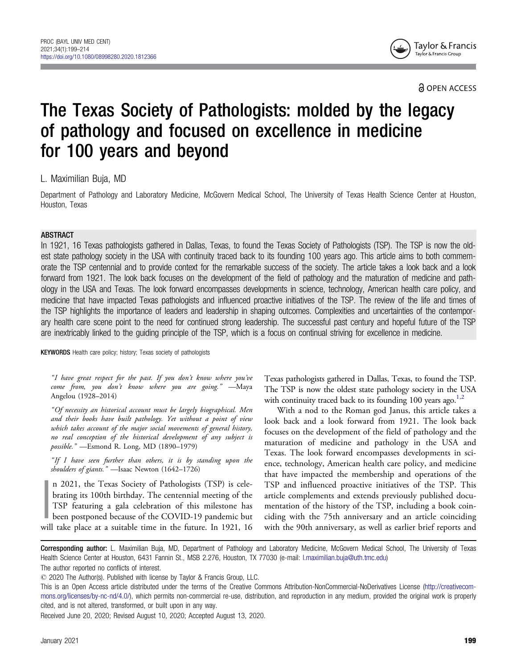

**a** OPEN ACCESS

# <span id="page-0-0"></span>The Texas Society of Pathologists: molded by the legacy of pathology and focused on excellence in medicine for 100 years and beyond

L. Maximilian Buja, MD

Department of Pathology and Laboratory Medicine, McGovern Medical School, The University of Texas Health Science Center at Houston, Houston, Texas

#### **ABSTRACT**

In 1921, 16 Texas pathologists gathered in Dallas, Texas, to found the Texas Society of Pathologists (TSP). The TSP is now the oldest state pathology society in the USA with continuity traced back to its founding 100 years ago. This article aims to both commemorate the TSP centennial and to provide context for the remarkable success of the society. The article takes a look back and a look forward from 1921. The look back focuses on the development of the field of pathology and the maturation of medicine and pathology in the USA and Texas. The look forward encompasses developments in science, technology, American health care policy, and medicine that have impacted Texas pathologists and influenced proactive initiatives of the TSP. The review of the life and times of the TSP highlights the importance of leaders and leadership in shaping outcomes. Complexities and uncertainties of the contemporary health care scene point to the need for continued strong leadership. The successful past century and hopeful future of the TSP are inextricably linked to the guiding principle of the TSP, which is a focus on continual striving for excellence in medicine.

KEYWORDS Health care policy; history; Texas society of pathologists

"I have great respect for the past. If you don't know where you've come from, you don't know where you are going." —Maya Angelou (1928–2014)

"Of necessity an historical account must be largely biographical. Men and their books have built pathology. Yet without a point of view which takes account of the major social movements of general history, no real conception of the historical development of any subject is possible." —Esmond R. Long, MD (1890–1979)

"If I have seen further than others, it is by standing upon the shoulders of giants." —Isaac Newton (1642–1726)

 $\overline{\phantom{a}}$ n 2021, the Texas Society of Pathologists (TSP) is celebrating its 100th birthday. The centennial meeting of the TSP featuring a gala celebration of this milestone has been postponed because of the COVID-19 pandemic but will take place at a suitable time in the future. In 1921, 16 Texas pathologists gathered in Dallas, Texas, to found the TSP. The TSP is now the oldest state pathology society in the USA with continuity traced back to its founding 100 years ago. $1,2$ 

With a nod to the Roman god Janus, this article takes a look back and a look forward from 1921. The look back focuses on the development of the field of pathology and the maturation of medicine and pathology in the USA and Texas. The look forward encompasses developments in science, technology, American health care policy, and medicine that have impacted the membership and operations of the TSP and influenced proactive initiatives of the TSP. This article complements and extends previously published documentation of the history of the TSP, including a book coinciding with the 75th anniversary and an article coinciding with the 90th anniversary, as well as earlier brief reports and

Corresponding author: L. Maximilian Buja, MD, Department of Pathology and Laboratory Medicine, McGovern Medical School, The University of Texas Health Science Center at Houston, 6431 Fannin St., MSB 2.276, Houston, TX 77030 (e-mail: l.maximilian.buja@uth.tmc.edu)

The author reported no conflicts of interest.

2020 The Author(s). Published with license by Taylor & Francis Group, LLC.

This is an Open Access article distributed under the terms of the Creative Commons Attribution-NonCommercial-NoDerivatives License [\(http://creativecom](http://creativecommons.org/licenses/by-nc-nd/4.0/)[mons.org/licenses/by-nc-nd/4.0/\)](http://creativecommons.org/licenses/by-nc-nd/4.0/), which permits non-commercial re-use, distribution, and reproduction in any medium, provided the original work is properly cited, and is not altered, transformed, or built upon in any way.

Received June 20, 2020; Revised August 10, 2020; Accepted August 13, 2020.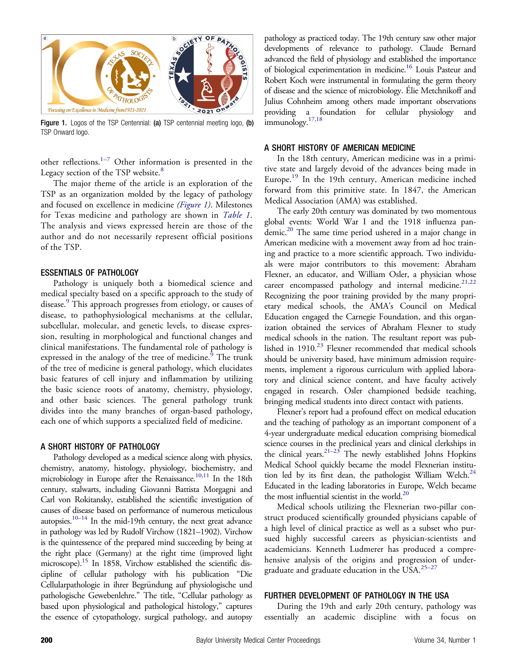<span id="page-1-0"></span>

Figure 1. Logos of the TSP Centennial: (a) TSP centennial meeting logo, (b) TSP Onward logo.

other reflections. $1-7$  $1-7$  Other information is presented in the Legacy section of the TSP website.<sup>[8](#page-12-0)</sup>

The major theme of the article is an exploration of the TSP as an organization molded by the legacy of pathology and focused on excellence in medicine (Figure 1). Milestones for Texas medicine and pathology are shown in *[Table 1](#page-2-0)*. The analysis and views expressed herein are those of the author and do not necessarily represent official positions of the TSP.

#### ESSENTIALS OF PATHOLOGY

Pathology is uniquely both a biomedical science and medical specialty based on a specific approach to the study of disease.<sup>9</sup> This approach progresses from etiology, or causes of disease, to pathophysiological mechanisms at the cellular, subcellular, molecular, and genetic levels, to disease expression, resulting in morphological and functional changes and clinical manifestations. The fundamental role of pathology is expressed in the analogy of the tree of medicine.<sup>[9](#page-12-0)</sup> The trunk of the tree of medicine is general pathology, which elucidates basic features of cell injury and inflammation by utilizing the basic science roots of anatomy, chemistry, physiology, and other basic sciences. The general pathology trunk divides into the many branches of organ-based pathology, each one of which supports a specialized field of medicine.

## A SHORT HISTORY OF PATHOLOGY

Pathology developed as a medical science along with physics, chemistry, anatomy, histology, physiology, biochemistry, and microbiology in Europe after the Renaissance.<sup>10,11</sup> In the 18th century, stalwarts, including Giovanni Battista Morgagni and Carl von Rokitansky, established the scientific investigation of causes of disease based on performance of numerous meticulous autopsies.<sup>10–14</sup> In the mid-19th century, the next great advance in pathology was led by Rudolf Virchow (1821–1902). Virchow is the quintessence of the prepared mind succeeding by being at the right place (Germany) at the right time (improved light microscope).<sup>15</sup> In 1858, Virchow established the scientific discipline of cellular pathology with his publication "Die Cellularpathologie in ihrer Begründung auf physiologische und pathologische Gewebenlehre." The title, "Cellular pathology as based upon physiological and pathological histology," captures the essence of cytopathology, surgical pathology, and autopsy pathology as practiced today. The 19th century saw other major developments of relevance to pathology. Claude Bernard advanced the field of physiology and established the importance of biological experimentation in medicine.<sup>16</sup> Louis Pasteur and Robert Koch were instrumental in formulating the germ theory of disease and the science of microbiology. Elie Metchnikoff and - Julius Cohnheim among others made important observations providing a foundation for cellular physiology and immunology[.17,18](#page-12-0)

#### A SHORT HISTORY OF AMERICAN MEDICINE

In the 18th century, American medicine was in a primitive state and largely devoid of the advances being made in Europe.<sup>19</sup> In the 19th century, American medicine inched forward from this primitive state. In 1847, the American Medical Association (AMA) was established.

The early 20th century was dominated by two momentous global events: World War I and the 1918 influenza pan-demic.<sup>[20](#page-12-0)</sup> The same time period ushered in a major change in American medicine with a movement away from ad hoc training and practice to a more scientific approach. Two individuals were major contributors to this movement: Abraham Flexner, an educator, and William Osler, a physician whose career encompassed pathology and internal medicine.<sup>[21,22](#page-12-0)</sup> Recognizing the poor training provided by the many proprietary medical schools, the AMA's Council on Medical Education engaged the Carnegie Foundation, and this organization obtained the services of Abraham Flexner to study medical schools in the nation. The resultant report was published in 1910.<sup>23</sup> Flexner recommended that medical schools should be university based, have minimum admission requirements, implement a rigorous curriculum with applied laboratory and clinical science content, and have faculty actively engaged in research. Osler championed bedside teaching, bringing medical students into direct contact with patients.

Flexner's report had a profound effect on medical education and the teaching of pathology as an important component of a 4-year undergraduate medical education comprising biomedical science courses in the preclinical years and clinical clerkships in the clinical years.  $21-23$  $21-23$  The newly established Johns Hopkins Medical School quickly became the model Flexnerian institution led by its first dean, the pathologist William Welch. $^{24}$ Educated in the leading laboratories in Europe, Welch became the most influential scientist in the world.<sup>20</sup>

Medical schools utilizing the Flexnerian two-pillar construct produced scientifically grounded physicians capable of a high level of clinical practice as well as a subset who pursued highly successful careers as physician-scientists and academicians. Kenneth Ludmerer has produced a comprehensive analysis of the origins and progression of undergraduate and graduate education in the USA.<sup>25-27</sup>

#### FURTHER DEVELOPMENT OF PATHOLOGY IN THE USA

During the 19th and early 20th century, pathology was essentially an academic discipline with a focus on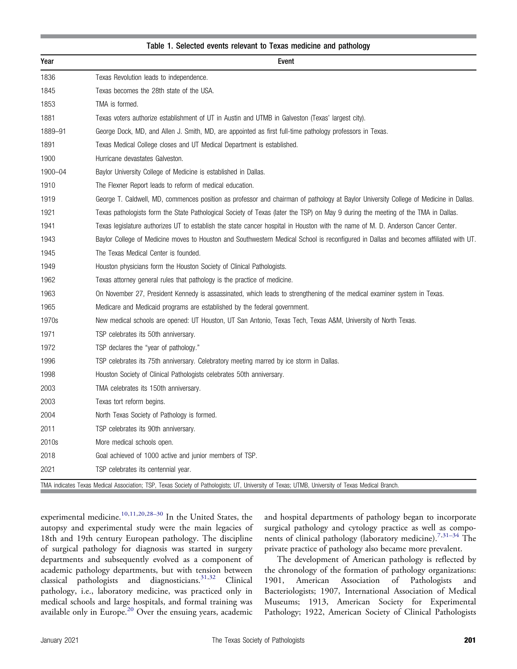<span id="page-2-0"></span>

| Table 1. Selected events relevant to Texas medicine and pathology |                                                                                                                                       |  |
|-------------------------------------------------------------------|---------------------------------------------------------------------------------------------------------------------------------------|--|
| Year                                                              | Event                                                                                                                                 |  |
| 1836                                                              | Texas Revolution leads to independence.                                                                                               |  |
| 1845                                                              | Texas becomes the 28th state of the USA.                                                                                              |  |
| 1853                                                              | TMA is formed.                                                                                                                        |  |
| 1881                                                              | Texas voters authorize establishment of UT in Austin and UTMB in Galveston (Texas' largest city).                                     |  |
| 1889-91                                                           | George Dock, MD, and Allen J. Smith, MD, are appointed as first full-time pathology professors in Texas.                              |  |
| 1891                                                              | Texas Medical College closes and UT Medical Department is established.                                                                |  |
| 1900                                                              | Hurricane devastates Galveston.                                                                                                       |  |
| 1900-04                                                           | Baylor University College of Medicine is established in Dallas.                                                                       |  |
| 1910                                                              | The Flexner Report leads to reform of medical education.                                                                              |  |
| 1919                                                              | George T. Caldwell, MD, commences position as professor and chairman of pathology at Baylor University College of Medicine in Dallas. |  |
| 1921                                                              | Texas pathologists form the State Pathological Society of Texas (later the TSP) on May 9 during the meeting of the TMA in Dallas.     |  |
| 1941                                                              | Texas legislature authorizes UT to establish the state cancer hospital in Houston with the name of M. D. Anderson Cancer Center.      |  |
| 1943                                                              | Baylor College of Medicine moves to Houston and Southwestern Medical School is reconfigured in Dallas and becomes affiliated with UT. |  |
| 1945                                                              | The Texas Medical Center is founded.                                                                                                  |  |
| 1949                                                              | Houston physicians form the Houston Society of Clinical Pathologists.                                                                 |  |
| 1962                                                              | Texas attorney general rules that pathology is the practice of medicine.                                                              |  |
| 1963                                                              | On November 27, President Kennedy is assassinated, which leads to strengthening of the medical examiner system in Texas.              |  |
| 1965                                                              | Medicare and Medicaid programs are established by the federal government.                                                             |  |
| 1970s                                                             | New medical schools are opened: UT Houston, UT San Antonio, Texas Tech, Texas A&M, University of North Texas.                         |  |
| 1971                                                              | TSP celebrates its 50th anniversary.                                                                                                  |  |
| 1972                                                              | TSP declares the "year of pathology."                                                                                                 |  |
| 1996                                                              | TSP celebrates its 75th anniversary. Celebratory meeting marred by ice storm in Dallas.                                               |  |
| 1998                                                              | Houston Society of Clinical Pathologists celebrates 50th anniversary.                                                                 |  |
| 2003                                                              | TMA celebrates its 150th anniversary.                                                                                                 |  |
| 2003                                                              | Texas tort reform begins.                                                                                                             |  |
| 2004                                                              | North Texas Society of Pathology is formed.                                                                                           |  |
| 2011                                                              | TSP celebrates its 90th anniversary.                                                                                                  |  |
| 2010s                                                             | More medical schools open.                                                                                                            |  |
| 2018                                                              | Goal achieved of 1000 active and junior members of TSP.                                                                               |  |
| 2021                                                              | TSP celebrates its centennial year.                                                                                                   |  |

Table 1. Selected events relevant to Texas medicine and pathology

TMA indicates Texas Medical Association; TSP, Texas Society of Pathologists; UT, University of Texas; UTMB, University of Texas Medical Branch.

experimental medicine.<sup>10,[11,20,28](#page-12-0)–30</sup> In the United States, the autopsy and experimental study were the main legacies of 18th and 19th century European pathology. The discipline of surgical pathology for diagnosis was started in surgery departments and subsequently evolved as a component of academic pathology departments, but with tension between classical pathologists and diagnosticians.<sup>[31,32](#page-12-0)</sup> Clinical pathology, i.e., laboratory medicine, was practiced only in medical schools and large hospitals, and formal training was available only in Europe. $20$  Over the ensuing years, academic

and hospital departments of pathology began to incorporate surgical pathology and cytology practice as well as components of clinical pathology (laboratory medicine).[7,31](#page-12-0)–<sup>34</sup> The private practice of pathology also became more prevalent.

The development of American pathology is reflected by the chronology of the formation of pathology organizations: 1901, American Association of Pathologists and Bacteriologists; 1907, International Association of Medical Museums; 1913, American Society for Experimental Pathology; 1922, American Society of Clinical Pathologists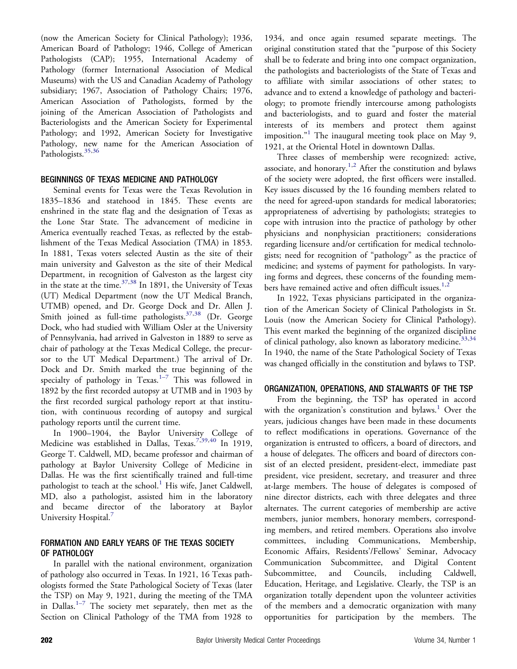<span id="page-3-0"></span>(now the American Society for Clinical Pathology); 1936, American Board of Pathology; 1946, College of American Pathologists (CAP); 1955, International Academy of Pathology (former International Association of Medical Museums) with the US and Canadian Academy of Pathology subsidiary; 1967, Association of Pathology Chairs; 1976, American Association of Pathologists, formed by the joining of the American Association of Pathologists and Bacteriologists and the American Society for Experimental Pathology; and 1992, American Society for Investigative Pathology, new name for the American Association of Pathologists.<sup>[35,36](#page-13-0)</sup>

## BEGINNINGS OF TEXAS MEDICINE AND PATHOLOGY

Seminal events for Texas were the Texas Revolution in 1835–1836 and statehood in 1845. These events are enshrined in the state flag and the designation of Texas as the Lone Star State. The advancement of medicine in America eventually reached Texas, as reflected by the establishment of the Texas Medical Association (TMA) in 1853. In 1881, Texas voters selected Austin as the site of their main university and Galveston as the site of their Medical Department, in recognition of Galveston as the largest city in the state at the time.<sup>[37,38](#page-13-0)</sup> In 1891, the University of Texas (UT) Medical Department (now the UT Medical Branch, UTMB) opened, and Dr. George Dock and Dr. Allen J. Smith joined as full-time pathologists.<sup>37,[38](#page-13-0)</sup> (Dr. George Dock, who had studied with William Osler at the University of Pennsylvania, had arrived in Galveston in 1889 to serve as chair of pathology at the Texas Medical College, the precursor to the UT Medical Department.) The arrival of Dr. Dock and Dr. Smith marked the true beginning of the specialty of pathology in Texas. $1-7$  $1-7$  This was followed in 1892 by the first recorded autopsy at UTMB and in 1903 by the first recorded surgical pathology report at that institution, with continuous recording of autopsy and surgical pathology reports until the current time.

In 1900–1904, the Baylor University College of Medicine was established in Dallas, Texas.<sup>7[,39,40](#page-13-0)</sup> In 1919, George T. Caldwell, MD, became professor and chairman of pathology at Baylor University College of Medicine in Dallas. He was the first scientifically trained and full-time pathologist to teach at the school.<sup>[1](#page-12-0)</sup> His wife, Janet Caldwell, MD, also a pathologist, assisted him in the laboratory and became director of the laboratory at Baylor University Hospital.

## FORMATION AND EARLY YEARS OF THE TEXAS SOCIETY OF PATHOLOGY

In parallel with the national environment, organization of pathology also occurred in Texas. In 1921, 16 Texas pathologists formed the State Pathological Society of Texas (later the TSP) on May 9, 1921, during the meeting of the TMA in Dallas. $1-7$  The society met separately, then met as the Section on Clinical Pathology of the TMA from 1928 to

1934, and once again resumed separate meetings. The original constitution stated that the "purpose of this Society shall be to federate and bring into one compact organization, the pathologists and bacteriologists of the State of Texas and to affiliate with similar associations of other states; to advance and to extend a knowledge of pathology and bacteriology; to promote friendly intercourse among pathologists and bacteriologists, and to guard and foster the material interests of its members and protect them against imposition." [1](#page-12-0) The inaugural meeting took place on May 9, 1921, at the Oriental Hotel in downtown Dallas.

Three classes of membership were recognized: active, associate, and honorary.<sup>[1,2](#page-12-0)</sup> After the constitution and bylaws of the society were adopted, the first officers were installed. Key issues discussed by the 16 founding members related to the need for agreed-upon standards for medical laboratories; appropriateness of advertising by pathologists; strategies to cope with intrusion into the practice of pathology by other physicians and nonphysician practitioners; considerations regarding licensure and/or certification for medical technologists; need for recognition of "pathology" as the practice of medicine; and systems of payment for pathologists. In varying forms and degrees, these concerns of the founding mem-bers have remained active and often difficult issues.<sup>[1,2](#page-12-0)</sup>

In 1922, Texas physicians participated in the organization of the American Society of Clinical Pathologists in St. Louis (now the American Society for Clinical Pathology). This event marked the beginning of the organized discipline of clinical pathology, also known as laboratory medicine. $33,34$  $33,34$ In 1940, the name of the State Pathological Society of Texas was changed officially in the constitution and bylaws to TSP.

# ORGANIZATION, OPERATIONS, AND STALWARTS OF THE TSP

From the beginning, the TSP has operated in accord with the organization's constitution and bylaws.<sup>[1](#page-12-0)</sup> Over the years, judicious changes have been made in these documents to reflect modifications in operations. Governance of the organization is entrusted to officers, a board of directors, and a house of delegates. The officers and board of directors consist of an elected president, president-elect, immediate past president, vice president, secretary, and treasurer and three at-large members. The house of delegates is composed of nine director districts, each with three delegates and three alternates. The current categories of membership are active members, junior members, honorary members, corresponding members, and retired members. Operations also involve committees, including Communications, Membership, Economic Affairs, Residents'/Fellows' Seminar, Advocacy Communication Subcommittee, and Digital Content Subcommittee, and Councils, including Caldwell, Education, Heritage, and Legislative. Clearly, the TSP is an organization totally dependent upon the volunteer activities of the members and a democratic organization with many opportunities for participation by the members. The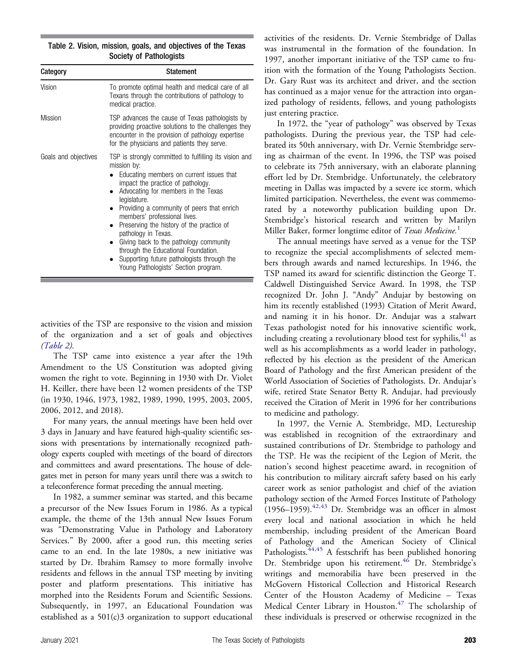| Category             | <b>Statement</b>                                                                                                                                                                                                                                                                                                                                                                                                                                                                                                                       |
|----------------------|----------------------------------------------------------------------------------------------------------------------------------------------------------------------------------------------------------------------------------------------------------------------------------------------------------------------------------------------------------------------------------------------------------------------------------------------------------------------------------------------------------------------------------------|
| Vision               | To promote optimal health and medical care of all<br>Texans through the contributions of pathology to<br>medical practice.                                                                                                                                                                                                                                                                                                                                                                                                             |
| Mission              | TSP advances the cause of Texas pathologists by<br>providing proactive solutions to the challenges they<br>encounter in the provision of pathology expertise<br>for the physicians and patients they serve.                                                                                                                                                                                                                                                                                                                            |
| Goals and objectives | TSP is strongly committed to fulfilling its vision and<br>mission by:<br>Educating members on current issues that<br>impact the practice of pathology.<br>Advocating for members in the Texas<br>legislature.<br>Providing a community of peers that enrich<br>members' professional lives.<br>Preserving the history of the practice of<br>pathology in Texas.<br>Giving back to the pathology community<br>through the Educational Foundation.<br>Supporting future pathologists through the<br>Young Pathologists' Section program. |

<span id="page-4-0"></span>Table 2. Vision, mission, goals, and objectives of the Texas Society of Pathologists

activities of the TSP are responsive to the vision and mission of the organization and a set of goals and objectives (Table 2).

The TSP came into existence a year after the 19th Amendment to the US Constitution was adopted giving women the right to vote. Beginning in 1930 with Dr. Violet H. Keiller, there have been 12 women presidents of the TSP (in 1930, 1946, 1973, 1982, 1989, 1990, 1995, 2003, 2005, 2006, 2012, and 2018).

For many years, the annual meetings have been held over 3 days in January and have featured high-quality scientific sessions with presentations by internationally recognized pathology experts coupled with meetings of the board of directors and committees and award presentations. The house of delegates met in person for many years until there was a switch to a teleconference format preceding the annual meeting.

In 1982, a summer seminar was started, and this became a precursor of the New Issues Forum in 1986. As a typical example, the theme of the 13th annual New Issues Forum was "Demonstrating Value in Pathology and Laboratory Services." By 2000, after a good run, this meeting series came to an end. In the late 1980s, a new initiative was started by Dr. Ibrahim Ramsey to more formally involve residents and fellows in the annual TSP meeting by inviting poster and platform presentations. This initiative has morphed into the Residents Forum and Scientific Sessions. Subsequently, in 1997, an Educational Foundation was established as a  $501(c)3$  organization to support educational activities of the residents. Dr. Vernie Stembridge of Dallas was instrumental in the formation of the foundation. In 1997, another important initiative of the TSP came to fruition with the formation of the Young Pathologists Section. Dr. Gary Rust was its architect and driver, and the section has continued as a major venue for the attraction into organized pathology of residents, fellows, and young pathologists just entering practice.

In 1972, the "year of pathology" was observed by Texas pathologists. During the previous year, the TSP had celebrated its 50th anniversary, with Dr. Vernie Stembridge serving as chairman of the event. In 1996, the TSP was poised to celebrate its 75th anniversary, with an elaborate planning effort led by Dr. Stembridge. Unfortunately, the celebratory meeting in Dallas was impacted by a severe ice storm, which limited participation. Nevertheless, the event was commemorated by a noteworthy publication building upon Dr. Stembridge's historical research and written by Marilyn Miller Baker, former longtime editor of Texas Medicine.<sup>[1](#page-12-0)</sup>

The annual meetings have served as a venue for the TSP to recognize the special accomplishments of selected members through awards and named lectureships. In 1946, the TSP named its award for scientific distinction the George T. Caldwell Distinguished Service Award. In 1998, the TSP recognized Dr. John J. "Andy" Andujar by bestowing on him its recently established (1993) Citation of Merit Award, and naming it in his honor. Dr. Andujar was a stalwart Texas pathologist noted for his innovative scientific work, including creating a revolutionary blood test for syphilis, $41$  as well as his accomplishments as a world leader in pathology, reflected by his election as the president of the American Board of Pathology and the first American president of the World Association of Societies of Pathologists. Dr. Andujar's wife, retired State Senator Betty R. Andujar, had previously received the Citation of Merit in 1996 for her contributions to medicine and pathology.

In 1997, the Vernie A. Stembridge, MD, Lectureship was established in recognition of the extraordinary and sustained contributions of Dr. Stembridge to pathology and the TSP. He was the recipient of the Legion of Merit, the nation's second highest peacetime award, in recognition of his contribution to military aircraft safety based on his early career work as senior pathologist and chief of the aviation pathology section of the Armed Forces Institute of Pathology (1956–1959). $42,43$  Dr. Stembridge was an officer in almost every local and national association in which he held membership, including president of the American Board of Pathology and the American Society of Clinical Pathologists.<sup>[44,45](#page-13-0)</sup> A festschrift has been published honoring Dr. Stembridge upon his retirement.<sup>[46](#page-13-0)</sup> Dr. Stembridge's writings and memorabilia have been preserved in the McGovern Historical Collection and Historical Research Center of the Houston Academy of Medicine – Texas Medical Center Library in Houston.<sup>[47](#page-13-0)</sup> The scholarship of these individuals is preserved or otherwise recognized in the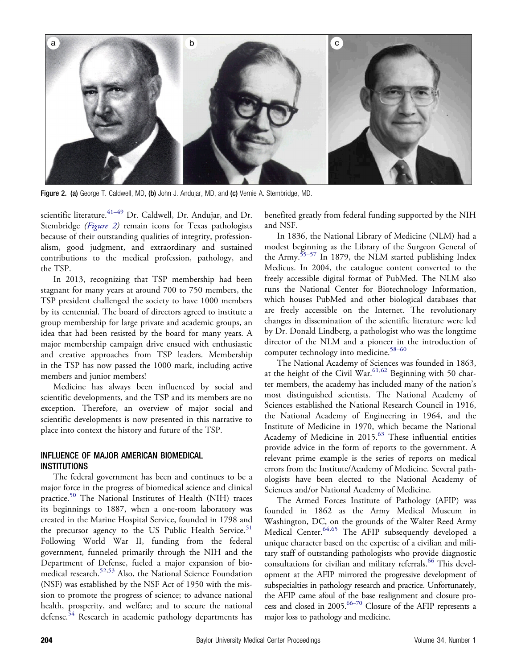<span id="page-5-0"></span>

Figure 2. (a) George T. Caldwell, MD, (b) John J. Andujar, MD, and (c) Vernie A. Stembridge, MD.

scientific literature.<sup>[41](#page-13-0)–49</sup> Dr. Caldwell, Dr. Andujar, and Dr. Stembridge (Figure 2) remain icons for Texas pathologists because of their outstanding qualities of integrity, professionalism, good judgment, and extraordinary and sustained contributions to the medical profession, pathology, and the TSP.

In 2013, recognizing that TSP membership had been stagnant for many years at around 700 to 750 members, the TSP president challenged the society to have 1000 members by its centennial. The board of directors agreed to institute a group membership for large private and academic groups, an idea that had been resisted by the board for many years. A major membership campaign drive ensued with enthusiastic and creative approaches from TSP leaders. Membership in the TSP has now passed the 1000 mark, including active members and junior members!

Medicine has always been influenced by social and scientific developments, and the TSP and its members are no exception. Therefore, an overview of major social and scientific developments is now presented in this narrative to place into context the history and future of the TSP.

## INFLUENCE OF MAJOR AMERICAN BIOMEDICAL INSTITUTIONS

The federal government has been and continues to be a major force in the progress of biomedical science and clinical practice.<sup>50</sup> The National Institutes of Health (NIH) traces its beginnings to 1887, when a one-room laboratory was created in the Marine Hospital Service, founded in 1798 and the precursor agency to the US Public Health Service. $51$ Following World War II, funding from the federal government, funneled primarily through the NIH and the Department of Defense, fueled a major expansion of biomedical research.<sup>52,53</sup> Also, the National Science Foundation (NSF) was established by the NSF Act of 1950 with the mission to promote the progress of science; to advance national health, prosperity, and welfare; and to secure the national defense.<sup>[54](#page-13-0)</sup> Research in academic pathology departments has benefited greatly from federal funding supported by the NIH and NSF.

In 1836, the National Library of Medicine (NLM) had a modest beginning as the Library of the Surgeon General of the Army.<sup>55–57</sup> In 1879, the NLM started publishing Index Medicus. In 2004, the catalogue content converted to the freely accessible digital format of PubMed. The NLM also runs the National Center for Biotechnology Information, which houses PubMed and other biological databases that are freely accessible on the Internet. The revolutionary changes in dissemination of the scientific literature were led by Dr. Donald Lindberg, a pathologist who was the longtime director of the NLM and a pioneer in the introduction of computer technology into medicine.<sup>[58](#page-13-0)-60</sup>

The National Academy of Sciences was founded in 1863, at the height of the Civil War.<sup>[61,62](#page-13-0)</sup> Beginning with 50 charter members, the academy has included many of the nation's most distinguished scientists. The National Academy of Sciences established the National Research Council in 1916, the National Academy of Engineering in 1964, and the Institute of Medicine in 1970, which became the National Academy of Medicine in  $2015$ .<sup>63</sup> These influential entities provide advice in the form of reports to the government. A relevant prime example is the series of reports on medical errors from the Institute/Academy of Medicine. Several pathologists have been elected to the National Academy of Sciences and/or National Academy of Medicine.

The Armed Forces Institute of Pathology (AFIP) was founded in 1862 as the Army Medical Museum in Washington, DC, on the grounds of the Walter Reed Army Medical Center.<sup>64,65</sup> The AFIP subsequently developed a unique character based on the expertise of a civilian and military staff of outstanding pathologists who provide diagnostic consultations for civilian and military referrals.<sup>[66](#page-13-0)</sup> This development at the AFIP mirrored the progressive development of subspecialties in pathology research and practice. Unfortunately, the AFIP came afoul of the base realignment and closure process and closed in 2005. $66-70$  $66-70$  Closure of the AFIP represents a major loss to pathology and medicine.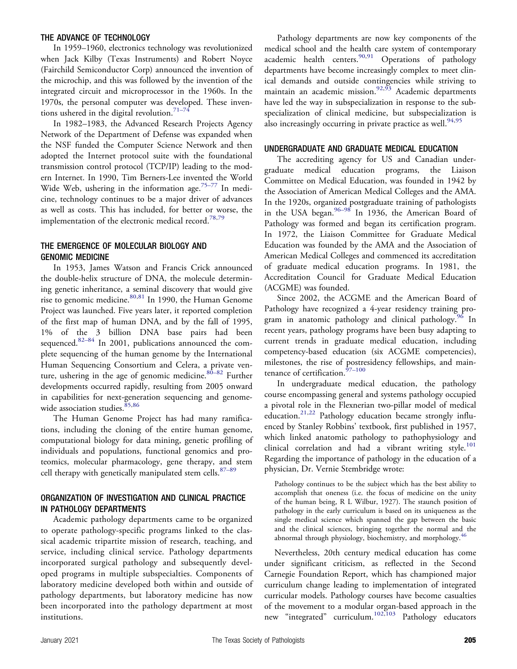#### <span id="page-6-0"></span>THE ADVANCE OF TECHNOLOGY

In 1959–1960, electronics technology was revolutionized when Jack Kilby (Texas Instruments) and Robert Noyce (Fairchild Semiconductor Corp) announced the invention of the microchip, and this was followed by the invention of the integrated circuit and microprocessor in the 1960s. In the 1970s, the personal computer was developed. These inven-tions ushered in the digital revolution.<sup>[71](#page-13-0)-74</sup>

In 1982–1983, the Advanced Research Projects Agency Network of the Department of Defense was expanded when the NSF funded the Computer Science Network and then adopted the Internet protocol suite with the foundational transmission control protocol (TCP/IP) leading to the modern Internet. In 1990, Tim Berners-Lee invented the World Wide Web, ushering in the information age.<sup>[75](#page-13-0)-77</sup> In medicine, technology continues to be a major driver of advances as well as costs. This has included, for better or worse, the implementation of the electronic medical record.<sup>[78](#page-13-0),[79](#page-13-0)</sup>

## THE EMERGENCE OF MOLECULAR BIOLOGY AND GENOMIC MEDICINE

In 1953, James Watson and Francis Crick announced the double-helix structure of DNA, the molecule determining genetic inheritance, a seminal discovery that would give rise to genomic medicine.<sup>[80,81](#page-13-0)</sup> In 1990, the Human Genome Project was launched. Five years later, it reported completion of the first map of human DNA, and by the fall of 1995, 1% of the 3 billion DNA base pairs had been sequenced.<sup>[82](#page-14-0)–84</sup> In 2001, publications announced the complete sequencing of the human genome by the International Human Sequencing Consortium and Celera, a private venture, ushering in the age of genomic medicine. $80-82$  $80-82$  Further developments occurred rapidly, resulting from 2005 onward in capabilities for next-generation sequencing and genomewide association studies.  $85,86$ 

The Human Genome Project has had many ramifications, including the cloning of the entire human genome, computational biology for data mining, genetic profiling of individuals and populations, functional genomics and proteomics, molecular pharmacology, gene therapy, and stem cell therapy with genetically manipulated stem cells.<sup>87-89</sup>

# ORGANIZATION OF INVESTIGATION AND CLINICAL PRACTICE IN PATHOLOGY DEPARTMENTS

Academic pathology departments came to be organized to operate pathology-specific programs linked to the classical academic tripartite mission of research, teaching, and service, including clinical service. Pathology departments incorporated surgical pathology and subsequently developed programs in multiple subspecialties. Components of laboratory medicine developed both within and outside of pathology departments, but laboratory medicine has now been incorporated into the pathology department at most institutions.

Pathology departments are now key components of the medical school and the health care system of contemporary academic health centers.  $90,91$  Operations of pathology departments have become increasingly complex to meet clinical demands and outside contingencies while striving to maintain an academic mission. $92,93$  Academic departments have led the way in subspecialization in response to the subspecialization of clinical medicine, but subspecialization is also increasingly occurring in private practice as well.<sup>[94,95](#page-14-0)</sup>

#### UNDERGRADUATE AND GRADUATE MEDICAL EDUCATION

The accrediting agency for US and Canadian undergraduate medical education programs, the Liaison Committee on Medical Education, was founded in 1942 by the Association of American Medical Colleges and the AMA. In the 1920s, organized postgraduate training of pathologists in the USA began. $96-98$  $96-98$  In 1936, the American Board of Pathology was formed and began its certification program. In 1972, the Liaison Committee for Graduate Medical Education was founded by the AMA and the Association of American Medical Colleges and commenced its accreditation of graduate medical education programs. In 1981, the Accreditation Council for Graduate Medical Education (ACGME) was founded.

Since 2002, the ACGME and the American Board of Pathology have recognized a 4-year residency training pro-gram in anatomic pathology and clinical pathology.<sup>[96](#page-14-0)</sup> In recent years, pathology programs have been busy adapting to current trends in graduate medical education, including competency-based education (six ACGME competencies), milestones, the rise of postresidency fellowships, and maintenance of certification. ${}^{97-100}$  ${}^{97-100}$  ${}^{97-100}$ 

In undergraduate medical education, the pathology course encompassing general and systems pathology occupied a pivotal role in the Flexnerian two-pillar model of medical education.<sup>[21,22](#page-12-0)</sup> Pathology education became strongly influenced by Stanley Robbins' textbook, first published in 1957, which linked anatomic pathology to pathophysiology and clinical correlation and had a vibrant writing style.<sup>[101](#page-14-0)</sup> Regarding the importance of pathology in the education of a physician, Dr. Vernie Stembridge wrote:

Pathology continues to be the subject which has the best ability to accomplish that oneness (i.e. the focus of medicine on the unity of the human being, R L Wilbur, 1927). The staunch position of pathology in the early curriculum is based on its uniqueness as the single medical science which spanned the gap between the basic and the clinical sciences, bringing together the normal and the abnormal through physiology, biochemistry, and morphology.[46](#page-13-0)

Nevertheless, 20th century medical education has come under significant criticism, as reflected in the Second Carnegie Foundation Report, which has championed major curriculum change leading to implementation of integrated curricular models. Pathology courses have become casualties of the movement to a modular organ-based approach in the new "integrated" curriculum.<sup>[102,103](#page-14-0)</sup> Pathology educators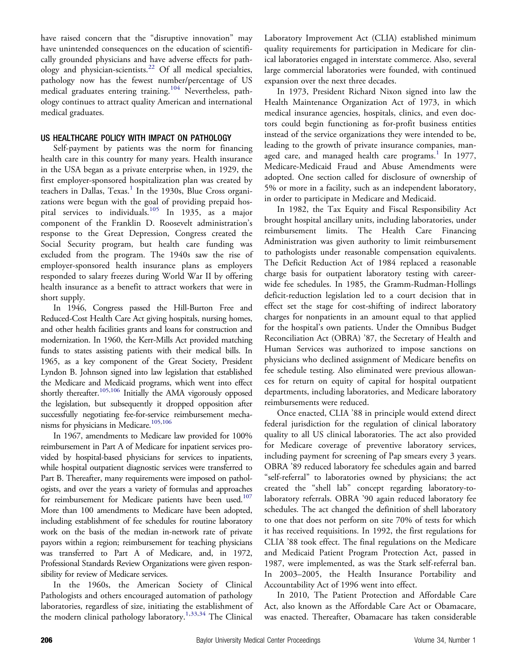<span id="page-7-0"></span>have raised concern that the "disruptive innovation" may have unintended consequences on the education of scientifically grounded physicians and have adverse effects for pathology and physician-scientists.[22](#page-12-0) Of all medical specialties, pathology now has the fewest number/percentage of US medical graduates entering training.<sup>[104](#page-14-0)</sup> Nevertheless, pathology continues to attract quality American and international medical graduates.

## US HEALTHCARE POLICY WITH IMPACT ON PATHOLOGY

Self-payment by patients was the norm for financing health care in this country for many years. Health insurance in the USA began as a private enterprise when, in 1929, the first employer-sponsored hospitalization plan was created by teachers in Dallas,  $T$ exas.<sup>[1](#page-12-0)</sup> In the 1930s, Blue Cross organizations were begun with the goal of providing prepaid hospital services to individuals.[105](#page-14-0) In 1935, as a major component of the Franklin D. Roosevelt administration's response to the Great Depression, Congress created the Social Security program, but health care funding was excluded from the program. The 1940s saw the rise of employer-sponsored health insurance plans as employers responded to salary freezes during World War II by offering health insurance as a benefit to attract workers that were in short supply.

In 1946, Congress passed the Hill-Burton Free and Reduced-Cost Health Care Act giving hospitals, nursing homes, and other health facilities grants and loans for construction and modernization. In 1960, the Kerr-Mills Act provided matching funds to states assisting patients with their medical bills. In 1965, as a key component of the Great Society, President Lyndon B. Johnson signed into law legislation that established the Medicare and Medicaid programs, which went into effect shortly thereafter.<sup>[105,106](#page-14-0)</sup> Initially the AMA vigorously opposed the legislation, but subsequently it dropped opposition after successfully negotiating fee-for-service reimbursement mechanisms for physicians in Medicare.<sup>105,106</sup>

In 1967, amendments to Medicare law provided for 100% reimbursement in Part A of Medicare for inpatient services provided by hospital-based physicians for services to inpatients, while hospital outpatient diagnostic services were transferred to Part B. Thereafter, many requirements were imposed on pathologists, and over the years a variety of formulas and approaches for reimbursement for Medicare patients have been used.<sup>[107](#page-14-0)</sup> More than 100 amendments to Medicare have been adopted, including establishment of fee schedules for routine laboratory work on the basis of the median in-network rate of private payors within a region; reimbursement for teaching physicians was transferred to Part A of Medicare, and, in 1972, Professional Standards Review Organizations were given responsibility for review of Medicare services.

In the 1960s, the American Society of Clinical Pathologists and others encouraged automation of pathology laboratories, regardless of size, initiating the establishment of the modern clinical pathology laboratory.<sup>[1,33,](#page-12-0)[34](#page-13-0)</sup> The Clinical Laboratory Improvement Act (CLIA) established minimum quality requirements for participation in Medicare for clinical laboratories engaged in interstate commerce. Also, several large commercial laboratories were founded, with continued expansion over the next three decades.

In 1973, President Richard Nixon signed into law the Health Maintenance Organization Act of 1973, in which medical insurance agencies, hospitals, clinics, and even doctors could begin functioning as for-profit business entities instead of the service organizations they were intended to be, leading to the growth of private insurance companies, managed care, and managed health care programs.<sup>1</sup> In 1977, Medicare-Medicaid Fraud and Abuse Amendments were adopted. One section called for disclosure of ownership of 5% or more in a facility, such as an independent laboratory, in order to participate in Medicare and Medicaid.

In 1982, the Tax Equity and Fiscal Responsibility Act brought hospital ancillary units, including laboratories, under reimbursement limits. The Health Care Financing Administration was given authority to limit reimbursement to pathologists under reasonable compensation equivalents. The Deficit Reduction Act of 1984 replaced a reasonable charge basis for outpatient laboratory testing with careerwide fee schedules. In 1985, the Gramm-Rudman-Hollings deficit-reduction legislation led to a court decision that in effect set the stage for cost-shifting of indirect laboratory charges for nonpatients in an amount equal to that applied for the hospital's own patients. Under the Omnibus Budget Reconciliation Act (OBRA) '87, the Secretary of Health and Human Services was authorized to impose sanctions on physicians who declined assignment of Medicare benefits on fee schedule testing. Also eliminated were previous allowances for return on equity of capital for hospital outpatient departments, including laboratories, and Medicare laboratory reimbursements were reduced.

Once enacted, CLIA '88 in principle would extend direct federal jurisdiction for the regulation of clinical laboratory quality to all US clinical laboratories. The act also provided for Medicare coverage of preventive laboratory services, including payment for screening of Pap smears every 3 years. OBRA '89 reduced laboratory fee schedules again and barred "self-referral" to laboratories owned by physicians; the act created the "shell lab" concept regarding laboratory-tolaboratory referrals. OBRA '90 again reduced laboratory fee schedules. The act changed the definition of shell laboratory to one that does not perform on site 70% of tests for which it has received requisitions. In 1992, the first regulations for CLIA '88 took effect. The final regulations on the Medicare and Medicaid Patient Program Protection Act, passed in 1987, were implemented, as was the Stark self-referral ban. In 2003–2005, the Health Insurance Portability and Accountability Act of 1996 went into effect.

In 2010, The Patient Protection and Affordable Care Act, also known as the Affordable Care Act or Obamacare, was enacted. Thereafter, Obamacare has taken considerable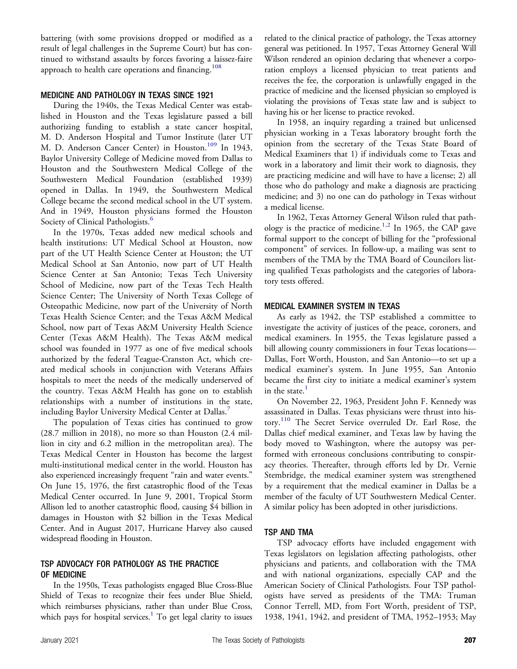<span id="page-8-0"></span>battering (with some provisions dropped or modified as a result of legal challenges in the Supreme Court) but has continued to withstand assaults by forces favoring a laissez-faire approach to health care operations and financing.<sup>[108](#page-14-0)</sup>

## MEDICINE AND PATHOLOGY IN TEXAS SINCE 1921

During the 1940s, the Texas Medical Center was established in Houston and the Texas legislature passed a bill authorizing funding to establish a state cancer hospital, M. D. Anderson Hospital and Tumor Institute (later UT M. D. Anderson Cancer Center) in Houston.<sup>[109](#page-14-0)</sup> In 1943, Baylor University College of Medicine moved from Dallas to Houston and the Southwestern Medical College of the Southwestern Medical Foundation (established 1939) opened in Dallas. In 1949, the Southwestern Medical College became the second medical school in the UT system. And in 1949, Houston physicians formed the Houston Society of Clinical Pathologists.<sup>[6](#page-12-0)</sup>

In the 1970s, Texas added new medical schools and health institutions: UT Medical School at Houston, now part of the UT Health Science Center at Houston; the UT Medical School at San Antonio, now part of UT Health Science Center at San Antonio; Texas Tech University School of Medicine, now part of the Texas Tech Health Science Center; The University of North Texas College of Osteopathic Medicine, now part of the University of North Texas Health Science Center; and the Texas A&M Medical School, now part of Texas A&M University Health Science Center (Texas A&M Health). The Texas A&M medical school was founded in 1977 as one of five medical schools authorized by the federal Teague-Cranston Act, which created medical schools in conjunction with Veterans Affairs hospitals to meet the needs of the medically underserved of the country. Texas A&M Health has gone on to establish relationships with a number of institutions in the state, including Baylor University Medical Center at Dallas.<sup>[7](#page-12-0)</sup>

The population of Texas cities has continued to grow (28.7 million in 2018), no more so than Houston (2.4 million in city and 6.2 million in the metropolitan area). The Texas Medical Center in Houston has become the largest multi-institutional medical center in the world. Houston has also experienced increasingly frequent "rain and water events." On June 15, 1976, the first catastrophic flood of the Texas Medical Center occurred. In June 9, 2001, Tropical Storm Allison led to another catastrophic flood, causing \$4 billion in damages in Houston with \$2 billion in the Texas Medical Center. And in August 2017, Hurricane Harvey also caused widespread flooding in Houston.

## TSP ADVOCACY FOR PATHOLOGY AS THE PRACTICE OF MEDICINE

In the 1950s, Texas pathologists engaged Blue Cross-Blue Shield of Texas to recognize their fees under Blue Shield, which reimburses physicians, rather than under Blue Cross, which pays for hospital services.<sup>1</sup> To get legal clarity to issues related to the clinical practice of pathology, the Texas attorney general was petitioned. In 1957, Texas Attorney General Will Wilson rendered an opinion declaring that whenever a corporation employs a licensed physician to treat patients and receives the fee, the corporation is unlawfully engaged in the practice of medicine and the licensed physician so employed is violating the provisions of Texas state law and is subject to having his or her license to practice revoked.

In 1958, an inquiry regarding a trained but unlicensed physician working in a Texas laboratory brought forth the opinion from the secretary of the Texas State Board of Medical Examiners that 1) if individuals come to Texas and work in a laboratory and limit their work to diagnosis, they are practicing medicine and will have to have a license; 2) all those who do pathology and make a diagnosis are practicing medicine; and 3) no one can do pathology in Texas without a medical license.

In 1962, Texas Attorney General Wilson ruled that pathology is the practice of medicine.<sup>1,2</sup> In 1965, the CAP gave formal support to the concept of billing for the "professional component" of services. In follow-up, a mailing was sent to members of the TMA by the TMA Board of Councilors listing qualified Texas pathologists and the categories of laboratory tests offered.

## MEDICAL EXAMINER SYSTEM IN TEXAS

As early as 1942, the TSP established a committee to investigate the activity of justices of the peace, coroners, and medical examiners. In 1955, the Texas legislature passed a bill allowing county commissioners in four Texas locations— Dallas, Fort Worth, Houston, and San Antonio—to set up a medical examiner's system. In June 1955, San Antonio became the first city to initiate a medical examiner's system in the state. $<sup>1</sup>$  $<sup>1</sup>$  $<sup>1</sup>$ </sup>

On November 22, 1963, President John F. Kennedy was assassinated in Dallas. Texas physicians were thrust into history.[110](#page-14-0) The Secret Service overruled Dr. Earl Rose, the Dallas chief medical examiner, and Texas law by having the body moved to Washington, where the autopsy was performed with erroneous conclusions contributing to conspiracy theories. Thereafter, through efforts led by Dr. Vernie Stembridge, the medical examiner system was strengthened by a requirement that the medical examiner in Dallas be a member of the faculty of UT Southwestern Medical Center. A similar policy has been adopted in other jurisdictions.

# TSP AND TMA

TSP advocacy efforts have included engagement with Texas legislators on legislation affecting pathologists, other physicians and patients, and collaboration with the TMA and with national organizations, especially CAP and the American Society of Clinical Pathologists. Four TSP pathologists have served as presidents of the TMA: Truman Connor Terrell, MD, from Fort Worth, president of TSP, 1938, 1941, 1942, and president of TMA, 1952–1953; May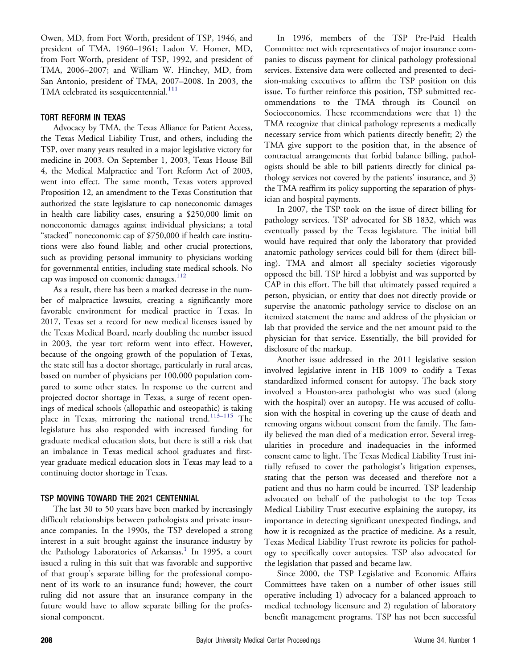<span id="page-9-0"></span>Owen, MD, from Fort Worth, president of TSP, 1946, and president of TMA, 1960–1961; Ladon V. Homer, MD, from Fort Worth, president of TSP, 1992, and president of TMA, 2006–2007; and William W. Hinchey, MD, from San Antonio, president of TMA, 2007–2008. In 2003, the TMA celebrated its sesquicentennial.<sup>[111](#page-14-0)</sup>

## TORT REFORM IN TEXAS

Advocacy by TMA, the Texas Alliance for Patient Access, the Texas Medical Liability Trust, and others, including the TSP, over many years resulted in a major legislative victory for medicine in 2003. On September 1, 2003, Texas House Bill 4, the Medical Malpractice and Tort Reform Act of 2003, went into effect. The same month, Texas voters approved Proposition 12, an amendment to the Texas Constitution that authorized the state legislature to cap noneconomic damages in health care liability cases, ensuring a \$250,000 limit on noneconomic damages against individual physicians; a total "stacked" noneconomic cap of \$750,000 if health care institutions were also found liable; and other crucial protections, such as providing personal immunity to physicians working for governmental entities, including state medical schools. No cap was imposed on economic damages. $112$ 

As a result, there has been a marked decrease in the number of malpractice lawsuits, creating a significantly more favorable environment for medical practice in Texas. In 2017, Texas set a record for new medical licenses issued by the Texas Medical Board, nearly doubling the number issued in 2003, the year tort reform went into effect. However, because of the ongoing growth of the population of Texas, the state still has a doctor shortage, particularly in rural areas, based on number of physicians per 100,000 population compared to some other states. In response to the current and projected doctor shortage in Texas, a surge of recent openings of medical schools (allopathic and osteopathic) is taking place in Texas, mirroring the national trend.<sup>[113](#page-14-0)-115</sup> The legislature has also responded with increased funding for graduate medical education slots, but there is still a risk that an imbalance in Texas medical school graduates and firstyear graduate medical education slots in Texas may lead to a continuing doctor shortage in Texas.

# TSP MOVING TOWARD THE 2021 CENTENNIAL

The last 30 to 50 years have been marked by increasingly difficult relationships between pathologists and private insurance companies. In the 1990s, the TSP developed a strong interest in a suit brought against the insurance industry by the Pathology Laboratories of Arkansas.<sup>[1](#page-12-0)</sup> In 1995, a court issued a ruling in this suit that was favorable and supportive of that group's separate billing for the professional component of its work to an insurance fund; however, the court ruling did not assure that an insurance company in the future would have to allow separate billing for the professional component.

In 1996, members of the TSP Pre-Paid Health Committee met with representatives of major insurance companies to discuss payment for clinical pathology professional services. Extensive data were collected and presented to decision-making executives to affirm the TSP position on this issue. To further reinforce this position, TSP submitted recommendations to the TMA through its Council on Socioeconomics. These recommendations were that 1) the TMA recognize that clinical pathology represents a medically necessary service from which patients directly benefit; 2) the TMA give support to the position that, in the absence of contractual arrangements that forbid balance billing, pathologists should be able to bill patients directly for clinical pathology services not covered by the patients' insurance, and 3) the TMA reaffirm its policy supporting the separation of physician and hospital payments.

In 2007, the TSP took on the issue of direct billing for pathology services. TSP advocated for SB 1832, which was eventually passed by the Texas legislature. The initial bill would have required that only the laboratory that provided anatomic pathology services could bill for them (direct billing). TMA and almost all specialty societies vigorously opposed the bill. TSP hired a lobbyist and was supported by CAP in this effort. The bill that ultimately passed required a person, physician, or entity that does not directly provide or supervise the anatomic pathology service to disclose on an itemized statement the name and address of the physician or lab that provided the service and the net amount paid to the physician for that service. Essentially, the bill provided for disclosure of the markup.

Another issue addressed in the 2011 legislative session involved legislative intent in HB 1009 to codify a Texas standardized informed consent for autopsy. The back story involved a Houston-area pathologist who was sued (along with the hospital) over an autopsy. He was accused of collusion with the hospital in covering up the cause of death and removing organs without consent from the family. The family believed the man died of a medication error. Several irregularities in procedure and inadequacies in the informed consent came to light. The Texas Medical Liability Trust initially refused to cover the pathologist's litigation expenses, stating that the person was deceased and therefore not a patient and thus no harm could be incurred. TSP leadership advocated on behalf of the pathologist to the top Texas Medical Liability Trust executive explaining the autopsy, its importance in detecting significant unexpected findings, and how it is recognized as the practice of medicine. As a result, Texas Medical Liability Trust rewrote its policies for pathology to specifically cover autopsies. TSP also advocated for the legislation that passed and became law.

Since 2000, the TSP Legislative and Economic Affairs Committees have taken on a number of other issues still operative including 1) advocacy for a balanced approach to medical technology licensure and 2) regulation of laboratory benefit management programs. TSP has not been successful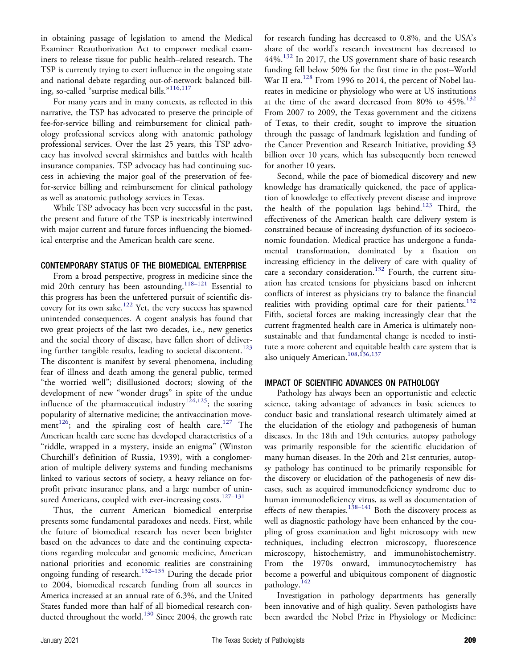<span id="page-10-0"></span>in obtaining passage of legislation to amend the Medical Examiner Reauthorization Act to empower medical examiners to release tissue for public health–related research. The TSP is currently trying to exert influence in the ongoing state and national debate regarding out-of-network balanced billing, so-called "surprise medical bills." [116,117](#page-14-0)

For many years and in many contexts, as reflected in this narrative, the TSP has advocated to preserve the principle of fee-for-service billing and reimbursement for clinical pathology professional services along with anatomic pathology professional services. Over the last 25 years, this TSP advocacy has involved several skirmishes and battles with health insurance companies. TSP advocacy has had continuing success in achieving the major goal of the preservation of feefor-service billing and reimbursement for clinical pathology as well as anatomic pathology services in Texas.

While TSP advocacy has been very successful in the past, the present and future of the TSP is inextricably intertwined with major current and future forces influencing the biomedical enterprise and the American health care scene.

## CONTEMPORARY STATUS OF THE BIOMEDICAL ENTERPRISE

From a broad perspective, progress in medicine since the mid 20th century has been astounding.<sup>[118](#page-14-0)-121</sup> Essential to this progress has been the unfettered pursuit of scientific dis-covery for its own sake.<sup>[122](#page-14-0)</sup> Yet, the very success has spawned unintended consequences. A cogent analysis has found that two great projects of the last two decades, i.e., new genetics and the social theory of disease, have fallen short of deliver-ing further tangible results, leading to societal discontent.<sup>[123](#page-14-0)</sup> The discontent is manifest by several phenomena, including fear of illness and death among the general public, termed "the worried well"; disillusioned doctors; slowing of the development of new "wonder drugs" in spite of the undue influence of the pharmaceutical industry<sup>124,125</sup>; the soaring popularity of alternative medicine; the antivaccination move-ment<sup>126</sup>; and the spiraling cost of health care.<sup>[127](#page-14-0)</sup> The American health care scene has developed characteristics of a "riddle, wrapped in a mystery, inside an enigma" (Winston Churchill's definition of Russia, 1939), with a conglomeration of multiple delivery systems and funding mechanisms linked to various sectors of society, a heavy reliance on forprofit private insurance plans, and a large number of unin-sured Americans, coupled with ever-increasing costs.<sup>[127](#page-14-0)-131</sup>

Thus, the current American biomedical enterprise presents some fundamental paradoxes and needs. First, while the future of biomedical research has never been brighter based on the advances to date and the continuing expectations regarding molecular and genomic medicine, American national priorities and economic realities are constraining ongoing funding of research[.132](#page-14-0)–<sup>135</sup> During the decade prior to 2004, biomedical research funding from all sources in America increased at an annual rate of 6.3%, and the United States funded more than half of all biomedical research conducted throughout the world.<sup>130</sup> Since 2004, the growth rate for research funding has decreased to 0.8%, and the USA's share of the world's research investment has decreased to 44%.<sup>[132](#page-14-0)</sup> In 2017, the US government share of basic research funding fell below 50% for the first time in the post–World War II era.<sup>[128](#page-14-0)</sup> From 1996 to 2014, the percent of Nobel laureates in medicine or physiology who were at US institutions at the time of the award decreased from 80% to  $45\%$ .<sup>132</sup> From 2007 to 2009, the Texas government and the citizens of Texas, to their credit, sought to improve the situation through the passage of landmark legislation and funding of the Cancer Prevention and Research Initiative, providing \$3 billion over 10 years, which has subsequently been renewed for another 10 years.

Second, while the pace of biomedical discovery and new knowledge has dramatically quickened, the pace of application of knowledge to effectively prevent disease and improve the health of the population lags behind.<sup>[123](#page-14-0)</sup> Third, the effectiveness of the American health care delivery system is constrained because of increasing dysfunction of its socioeconomic foundation. Medical practice has undergone a fundamental transformation, dominated by a fixation on increasing efficiency in the delivery of care with quality of care a secondary consideration.<sup>[132](#page-14-0)</sup> Fourth, the current situation has created tensions for physicians based on inherent conflicts of interest as physicians try to balance the financial realities with providing optimal care for their patients.<sup>[132](#page-14-0)</sup> Fifth, societal forces are making increasingly clear that the current fragmented health care in America is ultimately nonsustainable and that fundamental change is needed to institute a more coherent and equitable health care system that is also uniquely American.<sup>[108,](#page-14-0)[136,137](#page-15-0)</sup>

## IMPACT OF SCIENTIFIC ADVANCES ON PATHOLOGY

Pathology has always been an opportunistic and eclectic science, taking advantage of advances in basic sciences to conduct basic and translational research ultimately aimed at the elucidation of the etiology and pathogenesis of human diseases. In the 18th and 19th centuries, autopsy pathology was primarily responsible for the scientific elucidation of many human diseases. In the 20th and 21st centuries, autopsy pathology has continued to be primarily responsible for the discovery or elucidation of the pathogenesis of new diseases, such as acquired immunodeficiency syndrome due to human immunodeficiency virus, as well as documentation of effects of new therapies.<sup>[138](#page-15-0)–141</sup> Both the discovery process as well as diagnostic pathology have been enhanced by the coupling of gross examination and light microscopy with new techniques, including electron microscopy, fluorescence microscopy, histochemistry, and immunohistochemistry. From the 1970s onward, immunocytochemistry has become a powerful and ubiquitous component of diagnostic pathology.[142](#page-15-0)

Investigation in pathology departments has generally been innovative and of high quality. Seven pathologists have been awarded the Nobel Prize in Physiology or Medicine: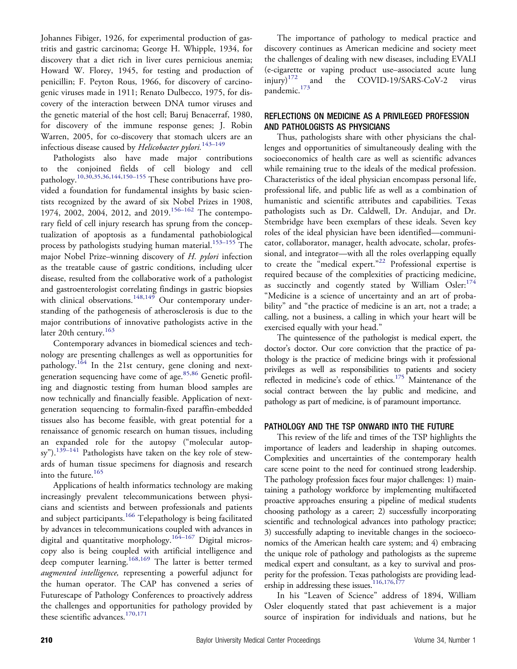<span id="page-11-0"></span>Johannes Fibiger, 1926, for experimental production of gastritis and gastric carcinoma; George H. Whipple, 1934, for discovery that a diet rich in liver cures pernicious anemia; Howard W. Florey, 1945, for testing and production of penicillin; F. Peyton Rous, 1966, for discovery of carcinogenic viruses made in 1911; Renato Dulbecco, 1975, for discovery of the interaction between DNA tumor viruses and the genetic material of the host cell; Baruj Benacerraf, 1980, for discovery of the immune response genes; J. Robin Warren, 2005, for co-discovery that stomach ulcers are an infectious disease caused by *Helicobacter pylori*.<sup>[143](#page-15-0)–149</sup>

Pathologists also have made major contributions to the conjoined fields of cell biology and cell pathology.[10,30](#page-12-0)[,35,36](#page-13-0)[,144,150](#page-15-0)–<sup>155</sup> These contributions have provided a foundation for fundamental insights by basic scientists recognized by the award of six Nobel Prizes in 1908, 1974, 2002, 2004, 2012, and 2019.<sup>[156](#page-15-0)-162</sup> The contemporary field of cell injury research has sprung from the conceptualization of apoptosis as a fundamental pathobiological process by pathologists studying human material.<sup>[153](#page-15-0)-155</sup> The major Nobel Prize–winning discovery of H. pylori infection as the treatable cause of gastric conditions, including ulcer disease, resulted from the collaborative work of a pathologist and gastroenterologist correlating findings in gastric biopsies with clinical observations.<sup>[148](#page-15-0),[149](#page-15-0)</sup> Our contemporary understanding of the pathogenesis of atherosclerosis is due to the major contributions of innovative pathologists active in the later 20th century.<sup>[163](#page-15-0)</sup>

Contemporary advances in biomedical sciences and technology are presenting challenges as well as opportunities for pathology.<sup>[164](#page-15-0)</sup> In the 21st century, gene cloning and next-generation sequencing have come of age.<sup>[85,86](#page-14-0)</sup> Genetic profiling and diagnostic testing from human blood samples are now technically and financially feasible. Application of nextgeneration sequencing to formalin-fixed paraffin-embedded tissues also has become feasible, with great potential for a renaissance of genomic research on human tissues, including an expanded role for the autopsy ("molecular autopsy").<sup>139–141</sup> Pathologists have taken on the key role of stewards of human tissue specimens for diagnosis and research into the future.[165](#page-15-0)

Applications of health informatics technology are making increasingly prevalent telecommunications between physicians and scientists and between professionals and patients and subject participants.<sup>166</sup> Telepathology is being facilitated by advances in telecommunications coupled with advances in digital and quantitative morphology[.164](#page-15-0)–<sup>167</sup> Digital microscopy also is being coupled with artificial intelligence and deep computer learning[.168,169](#page-15-0) The latter is better termed augmented intelligence, representing a powerful adjunct for the human operator. The CAP has convened a series of Futurescape of Pathology Conferences to proactively address the challenges and opportunities for pathology provided by these scientific advances.<sup>[170,171](#page-15-0)</sup>

The importance of pathology to medical practice and discovery continues as American medicine and society meet the challenges of dealing with new diseases, including EVALI (e-cigarette or vaping product use–associated acute lung injury)<sup>172</sup> and the COVID-19/SARS-CoV-2 virus and the COVID-19/SARS-CoV-2 virus pandemic.<sup>[173](#page-15-0)</sup>

## REFLECTIONS ON MEDICINE AS A PRIVILEGED PROFESSION AND PATHOLOGISTS AS PHYSICIANS

Thus, pathologists share with other physicians the challenges and opportunities of simultaneously dealing with the socioeconomics of health care as well as scientific advances while remaining true to the ideals of the medical profession. Characteristics of the ideal physician encompass personal life, professional life, and public life as well as a combination of humanistic and scientific attributes and capabilities. Texas pathologists such as Dr. Caldwell, Dr. Andujar, and Dr. Stembridge have been exemplars of these ideals. Seven key roles of the ideal physician have been identified—communicator, collaborator, manager, health advocate, scholar, professional, and integrator—with all the roles overlapping equally to create the "medical expert." [22](#page-12-0) Professional expertise is required because of the complexities of practicing medicine, as succinctly and cogently stated by William Osler: $1/4$ "Medicine is a science of uncertainty and an art of probability" and "the practice of medicine is an art, not a trade; a calling, not a business, a calling in which your heart will be exercised equally with your head."

The quintessence of the pathologist is medical expert, the doctor's doctor. Our core conviction that the practice of pathology is the practice of medicine brings with it professional privileges as well as responsibilities to patients and society reflected in medicine's code of ethics.<sup>175</sup> Maintenance of the social contract between the lay public and medicine, and pathology as part of medicine, is of paramount importance.

## PATHOLOGY AND THE TSP ONWARD INTO THE FUTURE

This review of the life and times of the TSP highlights the importance of leaders and leadership in shaping outcomes. Complexities and uncertainties of the contemporary health care scene point to the need for continued strong leadership. The pathology profession faces four major challenges: 1) maintaining a pathology workforce by implementing multifaceted proactive approaches ensuring a pipeline of medical students choosing pathology as a career; 2) successfully incorporating scientific and technological advances into pathology practice; 3) successfully adapting to inevitable changes in the socioeconomics of the American health care system; and 4) embracing the unique role of pathology and pathologists as the supreme medical expert and consultant, as a key to survival and prosperity for the profession. Texas pathologists are providing lead-ership in addressing these issues.<sup>116,[176,177](#page-15-0)</sup>

In his "Leaven of Science" address of 1894, William Osler eloquently stated that past achievement is a major source of inspiration for individuals and nations, but he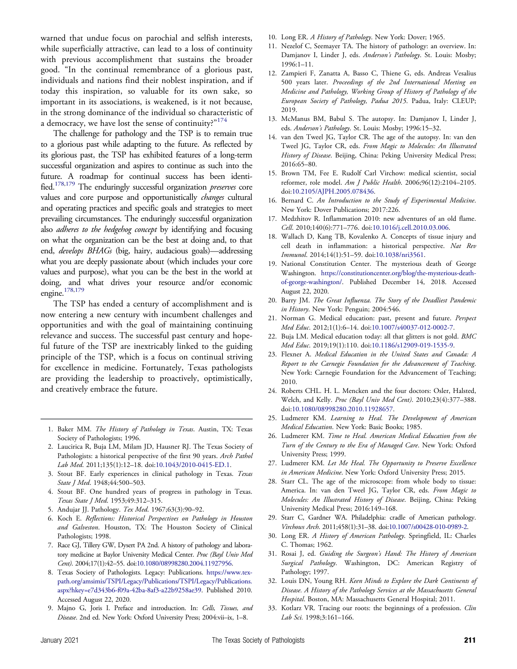<span id="page-12-0"></span>warned that undue focus on parochial and selfish interests, while superficially attractive, can lead to a loss of continuity with previous accomplishment that sustains the broader good. "In the continual remembrance of a glorious past, individuals and nations find their noblest inspiration, and if today this inspiration, so valuable for its own sake, so important in its associations, is weakened, is it not because, in the strong dominance of the individual so characteristic of a democracy, we have lost the sense of continuity?" $174$ 

The challenge for pathology and the TSP is to remain true to a glorious past while adapting to the future. As reflected by its glorious past, the TSP has exhibited features of a long-term successful organization and aspires to continue as such into the future. A roadmap for continual success has been identi-fied.<sup>[178,179](#page-15-0)</sup> The enduringly successful organization *preserves* core values and core purpose and opportunistically *changes* cultural and operating practices and specific goals and strategies to meet prevailing circumstances. The enduringly successful organization also *adheres to the hedgehog concept* by identifying and focusing on what the organization can be the best at doing and, to that end, develops BHAGs (big, hairy, audacious goals)—addressing what you are deeply passionate about (which includes your core values and purpose), what you can be the best in the world at doing, and what drives your resource and/or economic engine.[178,179](#page-15-0)

The TSP has ended a century of accomplishment and is now entering a new century with incumbent challenges and opportunities and with the goal of maintaining continuing relevance and success. The successful past century and hopeful future of the TSP are inextricably linked to the guiding principle of the TSP, which is a focus on continual striving for excellence in medicine. Fortunately, Texas pathologists are providing the leadership to proactively, optimistically, and creatively embrace the future.

- [1.](#page-0-0) Baker MM. The History of Pathology in Texas. Austin, TX: Texas Society of Pathologists; 1996.
- [2.](#page-0-0) Laucirica R, Buja LM, Milam JD, Hausner RJ. The Texas Society of Pathologists: a historical perspective of the first 90 years. Arch Pathol Lab Med. 2011;135(1):12–18. doi[:10.1043/2010-0415-ED.1](https://doi.org/10.1043/2010-0415-ED.1).
- 3. Stout BF. Early experiences in clinical pathology in Texas. Texas State J Med. 1948;44:500-503.
- 4. Stout BF. One hundred years of progress in pathology in Texas. Texas State J Med. 1953;49:312–315.
- 5. Andujar JJ. Pathology. Tex Med. 1967;63(3):90-92.
- [6.](#page-8-0) Koch E. Reflections: Historical Perspectives on Pathology in Houston and Galveston. Houston, TX: The Houston Society of Clinical Pathologists; 1998.
- [7.](#page-2-0) Race GJ, Tillery GW, Dysert PA 2nd. A history of pathology and laboratory medicine at Baylor University Medical Center. Proc (Bayl Univ Med Cent). 2004;17(1):42–55. doi[:10.1080/08998280.2004.11927956](https://doi.org/10.1080/08998280.2004.11927956).
- [8.](#page-1-0) Texas Society of Pathologists. Legacy: Publications. [https://www.tex](https://www.texpath.org/amsimis/TSPI/Legacy/Publications/TSPI/Legacy/Publications.aspx?hkey=e7d343b6-f09a-42ba-8af3-a22b9258ae39)[path.org/amsimis/TSPI/Legacy/Publications/TSPI/Legacy/Publications.](https://www.texpath.org/amsimis/TSPI/Legacy/Publications/TSPI/Legacy/Publications.aspx?hkey=e7d343b6-f09a-42ba-8af3-a22b9258ae39) [aspx?hkey=e7d343b6-f09a-42ba-8af3-a22b9258ae39](https://www.texpath.org/amsimis/TSPI/Legacy/Publications/TSPI/Legacy/Publications.aspx?hkey=e7d343b6-f09a-42ba-8af3-a22b9258ae39). Published 2010. Accessed August 22, 2020.
- [9.](#page-1-0) Majno G, Joris I. Preface and introduction. In: Cells, Tissues, and Disease. 2nd ed. New York: Oxford University Press; 2004:vii–ix, 1–8.
- [10.](#page-1-0) Long ER. A History of Pathology. New York: Dover; 1965.
- [11.](#page-1-0) Nezelof C, Seemayer TA. The history of pathology: an overview. In: Damjanov I, Linder J, eds. Anderson's Pathology. St. Louis: Mosby; 1996:1–11.
- 12. Zampieri F, Zanatta A, Basso C, Thiene G, eds. Andreas Vesalius 500 years later. Proceedings of the 2nd International Meeting on Medicine and Pathology, Working Group of History of Pathology of the European Society of Pathology, Padua 2015. Padua, Italy: CLEUP; 2019.
- 13. McManus BM, Babul S. The autopsy. In: Damjanov I, Linder J, eds. Anderson's Pathology. St. Louis: Mosby; 1996:15–32.
- 14. van den Tweel JG, Taylor CR. The age of the autopsy. In: van den Tweel JG, Taylor CR, eds. From Magic to Molecules: An Illustrated History of Disease. Beijing, China: Peking University Medical Press; 2016:65–80.
- [15.](#page-1-0) Brown TM, Fee E. Rudolf Carl Virchow: medical scientist, social reformer, role model. Am J Public Health. 2006;96(12):2104–2105. doi:[10.2105/AJPH.2005.078436.](https://doi.org/10.2105/AJPH.2005.078436)
- [16.](#page-1-0) Bernard C. An Introduction to the Study of Experimental Medicine. New York: Dover Publications; 2017:226.
- [17.](#page-1-0) Medzhitov R. Inflammation 2010: new adventures of an old flame. Cell. 2010;140(6):771–776. doi[:10.1016/j.cell.2010.03.006.](https://doi.org/10.1016/j.cell.2010.03.006)
- [18.](#page-1-0) Wallach D, Kang TB, Kovalenko A. Concepts of tissue injury and cell death in inflammation: a historical perspective. Nat Rev Immunol. 2014;14(1):51–59. doi[:10.1038/nri3561](https://doi.org/10.1038/nri3561).
- [19.](#page-1-0) National Constitution Center. The mysterious death of George Washington. [https://constitutioncenter.org/blog/the-mysterious-death](https://constitutioncenter.org/blog/the-mysterious-death-of-george-washington/)[of-george-washington/](https://constitutioncenter.org/blog/the-mysterious-death-of-george-washington/). Published December 14, 2018. Accessed August 22, 2020.
- [20.](#page-1-0) Barry JM. The Great Influenza. The Story of the Deadliest Pandemic in History. New York: Penguin; 2004:546.
- [21.](#page-1-0) Norman G. Medical education: past, present and future. Perspect Med Educ. 2012;1(1):6–14. doi[:10.1007/s40037-012-0002-7.](https://doi.org/10.1007/s40037-012-0002-7)
- [22.](#page-1-0) Buja LM. Medical education today: all that glitters is not gold. BMC Med Educ. 2019;19(1):110. doi[:10.1186/s12909-019-1535-9.](https://doi.org/10.1186/s12909-019-1535-9)
- [23.](#page-1-0) Flexner A. Medical Education in the United States and Canada: A Report to the Carnegie Foundation for the Advancement of Teaching. New York: Carnegie Foundation for the Advancement of Teaching; 2010.
- [24.](#page-1-0) Roberts CHL. H. L. Mencken and the four doctors: Osler, Halsted, Welch, and Kelly. Proc (Bayl Univ Med Cent). 2010;23(4):377–388. doi:[10.1080/08998280.2010.11928657.](https://doi.org/10.1080/08998280.2010.11928657)
- [25.](#page-1-0) Ludmerer KM. Learning to Heal. The Development of American Medical Education. New York: Basic Books; 1985.
- 26. Ludmerer KM. Time to Heal. American Medical Education from the Turn of the Century to the Era of Managed Care. New York: Oxford University Press; 1999.
- 27. Ludmerer KM. Let Me Heal. The Opportunity to Preserve Excellence in American Medicine. New York: Oxford University Press; 2015.
- [28.](#page-2-0) Starr CL. The age of the microscope: from whole body to tissue: America. In: van den Tweel JG, Taylor CR, eds. From Magic to Molecules: An Illustrated History of Disease. Beijing, China: Peking University Medical Press; 2016:149–168.
- 29. Starr C, Gardner WA. Philadelphia: cradle of American pathology. Virchows Arch. 2011;458(1):31–38. doi:[10.1007/s00428-010-0989-2](https://doi.org/10.1007/s00428-010-0989-2).
- [30.](#page-11-0) Long ER. A History of American Pathology. Springfield, IL: Charles C. Thomas; 1962.
- [31.](#page-2-0) Rosai J, ed. Guiding the Surgeon's Hand: The History of American Surgical Pathology. Washington, DC: American Registry of Pathology; 1997.
- [32.](#page-2-0) Louis DN, Young RH. Keen Minds to Explore the Dark Continents of Disease. A History of the Pathology Services at the Massachusetts General Hospital. Boston, MA: Massachusetts General Hospital; 2011.
- [33.](#page-3-0) Kotlarz VR. Tracing our roots: the beginnings of a profession. Clin Lab Sci. 1998;3:161–166.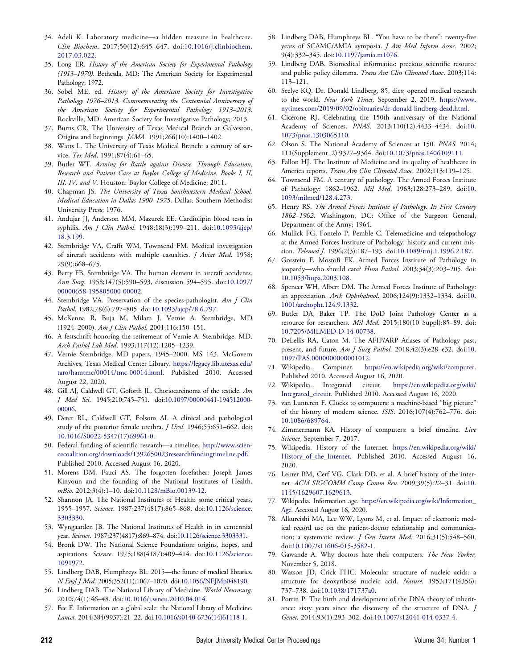- <span id="page-13-0"></span>[34.](#page-3-0) Adeli K. Laboratory medicine—a hidden treasure in healthcare. Clin Biochem. 2017;50(12):645–647. doi[:10.1016/j.clinbiochem.](https://doi.org/10.1016/j.clinbiochem.2017.03.022) [2017.03.022](https://doi.org/10.1016/j.clinbiochem.2017.03.022).
- [35.](#page-3-0) Long ER. History of the American Society for Experimental Pathology (1913–1970). Bethesda, MD: The American Society for Experimental Pathology; 1972.
- [36.](#page-3-0) Sobel ME, ed. History of the American Society for Investigative Pathology 1976–2013. Commemorating the Centennial Anniversary of the American Society for Experimental Pathology 1913–2013. Rockville, MD: American Society for Investigative Pathology; 2013.
- [37.](#page-3-0) Burns CR. The University of Texas Medical Branch at Galveston. Origins and beginnings. JAMA. 1991;266(10):1400–1402.
- [38.](#page-3-0) Watts L. The University of Texas Medical Branch: a century of service. Tex Med. 1991;87(4):61-65.
- [39.](#page-3-0) Butler WT. Arming for Battle against Disease. Through Education, Research and Patient Care at Baylor College of Medicine. Books I, II, III, IV, and V. Houston: Baylor College of Medicine; 2011.
- [40.](#page-3-0) Chapman JS. The University of Texas Southwestern Medical School. Medical Education in Dallas 1900–1975. Dallas: Southern Methodist University Press; 1976.
- [41.](#page-4-0) Andujar JJ, Anderson MM, Mazurek EE. Cardiolipin blood tests in syphilis. Am J Clin Pathol. 1948;18(3):199–211. doi:[10.1093/ajcp/](https://doi.org/10.1093/ajcp/18.3.199) [18.3.199.](https://doi.org/10.1093/ajcp/18.3.199)
- [42.](#page-4-0) Stembridge VA, Crafft WM, Townsend FM. Medical investigation of aircraft accidents with multiple casualties. *J Aviat Med*. 1958; 29(9):668–675.
- [43.](#page-4-0) Berry FB, Stembridge VA. The human element in aircraft accidents. Ann Surg. 1958;147(5):590–593, discussion 594–595. doi:[10.1097/](https://doi.org/10.1097/00000658-195805000-00002) [00000658-195805000-00002](https://doi.org/10.1097/00000658-195805000-00002).
- [44.](#page-4-0) Stembridge VA. Preservation of the species-pathologist. Am J Clin Pathol. 1982;78(6):797–805. doi:[10.1093/ajcp/78.6.797](https://doi.org/10.1093/ajcp/78.6.797).
- [45.](#page-4-0) McKenna R, Buja M, Milam J. Vernie A. Stembridge, MD (1924–2000). Am J Clin Pathol. 2001;116:150–151.
- [46.](#page-4-0) A festschrift honoring the retirement of Vernie A. Stembridge, MD. Arch Pathol Lab Med. 1993;117(12):1205–1239.
- [47.](#page-4-0) Vernie Stembridge, MD papers, 1945–2000. MS 143. McGovern Archives, Texas Medical Center Library. [https://legacy.lib.utexas.edu/](https://legacy.lib.utexas.edu/taro/hamtmc/00014/tmc-00014.html) [taro/hamtmc/00014/tmc-00014.html](https://legacy.lib.utexas.edu/taro/hamtmc/00014/tmc-00014.html). Published 2010. Accessed August 22, 2020.
- 48. Gill AJ, Caldwell GT, Goforth JL. Choriocarcinoma of the testicle. Am J Med Sci. 1945;210:745–751. doi[:10.1097/00000441-194512000-](https://doi.org/10.1097/00000441-194512000-00006) [00006](https://doi.org/10.1097/00000441-194512000-00006).
- 49. Deter RL, Caldwell GT, Folsom AI. A clinical and pathological study of the posterior female urethra. J Urol. 1946;55:651-662. doi: [10.1016/S0022-5347\(17\)69961-0.](https://doi.org/10.1016/S0022-5347(17)69961-0)
- [50.](#page-5-0) Federal funding of scientific research—a timeline. [http://www.scien](http://www.sciencecoalition.org/downloads/1392650023researchfundingtimeline.pdf)[cecoalition.org/downloads/1392650023researchfundingtimeline.pdf](http://www.sciencecoalition.org/downloads/1392650023researchfundingtimeline.pdf). Published 2010. Accessed August 16, 2020.
- [51.](#page-5-0) Morens DM, Fauci AS. The forgotten forefather: Joseph James Kinyoun and the founding of the National Institutes of Health. mBio. 2012;3(4):1–10. doi[:10.1128/mBio.00139-12](https://doi.org/10.1128/mBio.00139-12).
- [52.](#page-5-0) Shannon JA. The National Institutes of Health: some critical years, 1955–1957. Science. 1987;237(4817):865–868. doi:[10.1126/science.](https://doi.org/10.1126/science.3303330) [3303330.](https://doi.org/10.1126/science.3303330)
- [53.](#page-5-0) Wyngaarden JB. The National Institutes of Health in its centennial year. Science. 1987;237(4817):869–874. doi[:10.1126/science.3303331](https://doi.org/10.1126/science.3303331).
- [54.](#page-5-0) Bronk DW. The National Science Foundation: origins, hopes, and aspirations. Science. 1975;188(4187):409–414. doi:[10.1126/science.](https://doi.org/10.1126/science.1091972) [1091972.](https://doi.org/10.1126/science.1091972)
- [55.](#page-5-0) Lindberg DAB, Humphreys BL. 2015—the future of medical libraries. N Engl J Med. 2005;352(11):1067–1070. doi[:10.1056/NEJMp048190.](https://doi.org/10.1056/NEJMp048190)
- 56. Lindberg DAB. The National Library of Medicine. World Neurosurg. 2010;74(1):46–48. doi[:10.1016/j.wneu.2010.04.014](https://doi.org/10.1016/j.wneu.2010.04.014).
- 57. Fee E. Information on a global scale: the National Library of Medicine. Lancet. 2014;384(9937):21–22. doi[:10.1016/s0140-6736\(14\)61118-1](https://doi.org/10.1016/s0140-6736(14)61118-1).
- [58.](#page-5-0) Lindberg DAB, Humphreys BL. "You have to be there": twenty-five years of SCAMC/AMIA symposia. J Am Med Inform Assoc. 2002; 9(4):332–345. doi[:10.1197/jamia.m1076](https://doi.org/10.1197/jamia.m1076).
- 59. Lindberg DAB. Biomedical informatics: precious scientific resource and public policy dilemma. Trans Am Clin Climatol Assoc. 2003;114: 113–121.
- 60. Seelye KQ. Dr. Donald Lindberg, 85, dies; opened medical research to the world. New York Times, September 2, 2019. [https://www.](https://www.nytimes.com/2019/09/02/obituaries/dr-donald-lindberg-dead.html) [nytimes.com/2019/09/02/obituaries/dr-donald-lindberg-dead.html.](https://www.nytimes.com/2019/09/02/obituaries/dr-donald-lindberg-dead.html)
- [61.](#page-5-0) Cicerone RJ. Celebrating the 150th anniversary of the National Academy of Sciences. PNAS. 2013;110(12):4433–4434. doi[:10.](https://doi.org/10.1073/pnas.1303065110) [1073/pnas.1303065110](https://doi.org/10.1073/pnas.1303065110).
- [62.](#page-5-0) Olson S. The National Academy of Sciences at 150. PNAS. 2014; 111(Supplement\_2):9327–9364. doi[:10.1073/pnas.1406109111](https://doi.org/10.1073/pnas.1406109111).
- [63.](#page-5-0) Fallon HJ. The Institute of Medicine and its quality of healthcare in America reports. Trans Am Clin Climatol Assoc. 2002;113:119–125.
- [64.](#page-5-0) Townsend FM. A century of pathology. The Armed Forces Institute of Pathology: 1862–1962. Mil Med. 1963;128:273–289. doi[:10.](https://doi.org/10.1093/milmed/128.4.273) [1093/milmed/128.4.273.](https://doi.org/10.1093/milmed/128.4.273)
- [65.](#page-5-0) Henry RS. The Armed Forces Institute of Pathology. Its First Century 1862–1962. Washington, DC: Office of the Surgeon General, Department of the Army; 1964.
- [66.](#page-5-0) Mullick FG, Fontelo P, Pemble C. Telemedicine and telepathology at the Armed Forces Institute of Pathology: history and current mission. Telemed J. 1996;2(3):187–193. doi[:10.1089/tmj.1.1996.2.187.](https://doi.org/10.1089/tmj.1.1996.2.187)
- 67. Gorstein F, Mostofi FK. Armed Forces Institute of Pathology in jeopardy—who should care? Hum Pathol. 2003;34(3):203-205. doi: [10.1053/hupa.2003.108.](https://doi.org/10.1053/hupa.2003.108)
- 68. Spencer WH, Albert DM. The Armed Forces Institute of Pathology: an appreciation. Arch Ophthalmol. 2006;124(9):1332–1334. doi[:10.](https://doi.org/10.1001/archopht.124.9.1332) [1001/archopht.124.9.1332.](https://doi.org/10.1001/archopht.124.9.1332)
- 69. Butler DA, Baker TP. The DoD Joint Pathology Center as a resource for researchers. Mil Med. 2015;180(10 Suppl):85–89. doi: [10.7205/MILMED-D-14-00738.](https://doi.org/10.7205/MILMED-D-14-00738)
- 70. DeLellis RA, Caton M. The AFIP/ARP Atlases of Pathology past, present, and future. Am J Surg Pathol. 2018;42(3):e28–e32. doi[:10.](https://doi.org/10.1097/PAS.0000000000001012) [1097/PAS.0000000000001012](https://doi.org/10.1097/PAS.0000000000001012).
- [71.](#page-6-0) Wikipedia. Computer. [https://en.wikipedia.org/wiki/computer.](https://en.wikipedia.org/wiki/computer) Published 2010. Accessed August 16, 2020.
- 72. Wikipedia. Integrated circuit. [https://en.wikipedia.org/wiki/](https://en.wikipedia.org/wiki/Integrated_circuit) [Integrated\\_circuit.](https://en.wikipedia.org/wiki/Integrated_circuit) Published 2010. Accessed August 16, 2020.
- 73. van Lunteren F. Clocks to computers: a machine-based "big picture" of the history of modern science. ISIS. 2016;107(4):762–776. doi: [10.1086/689764](https://doi.org/10.1086/689764).
- 74. Zimmermann KA. History of computers: a brief timeline. Live Science, September 7, 2017.
- [75.](#page-6-0) Wikipedia. History of the Internet. [https://en.wikipedia.org/wiki/](https://en.wikipedia.org/wiki/History_of_the_Internet) [History\\_of\\_the\\_Internet](https://en.wikipedia.org/wiki/History_of_the_Internet). Published 2010. Accessed August 16, 2020.
- 76. Leiner BM, Cerf VG, Clark DD, et al. A brief history of the internet. ACM SIGCOMM Comp Comm Rev. 2009;39(5):22–31. doi[:10.](https://doi.org/10.1145/1629607.1629613) [1145/1629607.1629613](https://doi.org/10.1145/1629607.1629613).
- 77. Wikipedia. Information age. [https://en.wikipedia.org/wiki/Information\\_](https://en.wikipedia.org/wiki/Information_Age) [Age](https://en.wikipedia.org/wiki/Information_Age). Accessed August 16, 2020.
- [78.](#page-6-0) Alkureishi MA, Lee WW, Lyons M, et al. Impact of electronic medical record use on the patient-doctor relationship and communication: a systematic review. *J Gen Intern Med.* 2016;31(5):548-560. doi:[10.1007/s11606-015-3582-1](https://doi.org/10.1007/s11606-015-3582-1).
- [79.](#page-6-0) Gawande A. Why doctors hate their computers. The New Yorker, November 5, 2018.
- [80.](#page-6-0) Watson JD, Crick FHC. Molecular structure of nucleic acids: a structure for deoxyribose nucleic acid. Nature. 1953;171(4356): 737–738. doi[:10.1038/171737a0.](https://doi.org/10.1038/171737a0)
- [81.](#page-6-0) Portin P. The birth and development of the DNA theory of inheritance: sixty years since the discovery of the structure of DNA. J Genet. 2014;93(1):293–302. doi:[10.1007/s12041-014-0337-4](https://doi.org/10.1007/s12041-014-0337-4).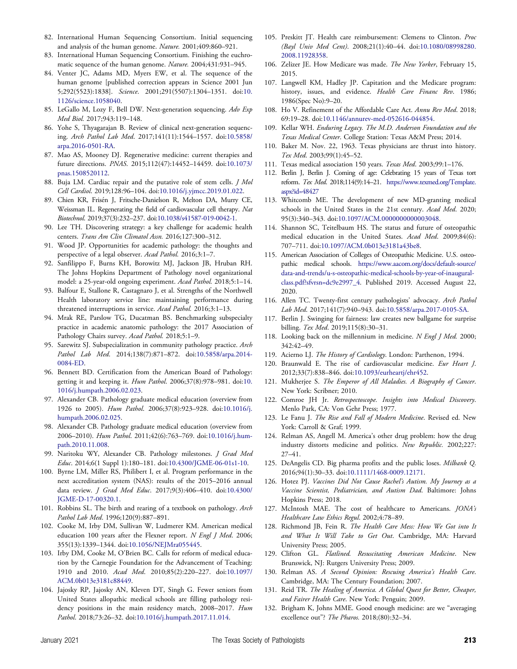- <span id="page-14-0"></span>[82.](#page-6-0) International Human Sequencing Consortium. Initial sequencing and analysis of the human genome. Nature. 2001;409:860–921.
- 83. International Human Sequencing Consortium. Finishing the euchromatic sequence of the human genome. Nature. 2004;431:931–945.
- 84. Venter JC, Adams MD, Myers EW, et al. The sequence of the human genome [published correction appears in Science 2001 Jun 5;292(5523):1838]. Science. 2001;291(5507):1304–1351. doi[:10.](https://doi.org/10.1126/science.1058040) [1126/science.1058040.](https://doi.org/10.1126/science.1058040)
- [85.](#page-6-0) LeGallo M, Lozy F, Bell DW. Next-generation sequencing. Adv Exp Med Biol. 2017;943:119–148.
- [86.](#page-6-0) Yohe S, Thyagarajan B. Review of clinical next-generation sequencing. Arch Pathol Lab Med. 2017;141(11):1544–1557. doi:[10.5858/](https://doi.org/10.5858/arpa.2016-0501-RA) [arpa.2016-0501-RA](https://doi.org/10.5858/arpa.2016-0501-RA).
- [87.](#page-6-0) Mao AS, Mooney DJ. Regenerative medicine: current therapies and future directions. PNAS. 2015;112(47):14452–14459. doi:[10.1073/](https://doi.org/10.1073/pnas.1508520112) [pnas.1508520112.](https://doi.org/10.1073/pnas.1508520112)
- 88. Buja LM. Cardiac repair and the putative role of stem cells. J Mol Cell Cardiol. 2019;128:96–104. doi:[10.1016/j.yjmcc.2019.01.022.](https://doi.org/10.1016/j.yjmcc.2019.01.022)
- 89. Chien KR, Frisén J, Fritsche-Danielson R, Melton DA, Murry CE, Weissman IL. Regenerating the field of cardiovascular cell therapy. Nat Biotechnol. 2019;37(3):232–237. doi[:10.1038/s41587-019-0042-1.](https://doi.org/10.1038/s41587-019-0042-1)
- [90.](#page-6-0) Lee TH. Discovering strategy: a key challenge for academic health centers. Trans Am Clin Climatol Assn. 2016;127:300–312.
- [91.](#page-6-0) Wood JP. Opportunities for academic pathology: the thoughts and perspective of a legal observer. Acad Pathol. 2016;3:1–7.
- [92.](#page-6-0) Sanfilippo F, Burns KH, Borowitz MJ, Jackson JB, Hruban RH. The Johns Hopkins Department of Pathology novel organizational model: a 25-year-old ongoing experiment. Acad Pathol. 2018;5:1–14.
- [93.](#page-6-0) Balfour E, Stallone R, Castagnaro J, et al. Strengths of the Northwell Health laboratory service line: maintaining performance during threatened interruptions in service. Acad Pathol. 2016;3:1-13.
- [94.](#page-6-0) Mrak RE, Parslow TG, Ducatman BS. Benchmarking subspecialty practice in academic anatomic pathology: the 2017 Association of Pathology Chairs survey. Acad Pathol. 2018;5:1-9.
- [95.](#page-6-0) Sarewitz SJ. Subspecialization in community pathology practice. Arch Pathol Lab Med. 2014;138(7):871–872. doi:[10.5858/arpa.2014-](https://doi.org/10.5858/arpa.2014-0084-ED) [0084-ED](https://doi.org/10.5858/arpa.2014-0084-ED).
- [96.](#page-6-0) Bennett BD. Certification from the American Board of Pathology: getting it and keeping it. Hum Pathol. 2006;37(8):978-981. doi[:10.](https://doi.org/10.1016/j.humpath.2006.02.023) [1016/j.humpath.2006.02.023.](https://doi.org/10.1016/j.humpath.2006.02.023)
- [97.](#page-6-0) Alexander CB. Pathology graduate medical education (overview from 1926 to 2005). Hum Pathol. 2006;37(8):923–928. doi[:10.1016/j.](https://doi.org/10.1016/j.humpath.2006.02.025) [humpath.2006.02.025.](https://doi.org/10.1016/j.humpath.2006.02.025)
- 98. Alexander CB. Pathology graduate medical education (overview from 2006–2010). Hum Pathol. 2011;42(6):763–769. doi[:10.1016/j.hum](https://doi.org/10.1016/j.humpath.2010.11.008)[path.2010.11.008](https://doi.org/10.1016/j.humpath.2010.11.008).
- 99. Naritoku WY, Alexander CB. Pathology milestones. J Grad Med Educ. 2014;6(1 Suppl 1):180–181. doi:[10.4300/JGME-06-01s1-10.](https://doi.org/10.4300/JGME-06-01s1-10)
- 100. Byrne LM, Miller RS, Philibert I, et al. Program performance in the next accreditation system (NAS): results of the 2015–2016 annual data review. J Grad Med Educ. 2017;9(3):406–410. doi:[10.4300/](https://doi.org/10.4300/JGME-D-17-00320.1) [JGME-D-17-00320.1.](https://doi.org/10.4300/JGME-D-17-00320.1)
- [101.](#page-6-0) Robbins SL. The birth and rearing of a textbook on pathology. Arch Pathol Lab Med. 1996;120(9):887–891.
- [102.](#page-6-0) Cooke M, Irby DM, Sullivan W, Ludmerer KM. American medical education 100 years after the Flexner report. N Engl J Med. 2006; 355(13):1339–1344. doi:[10.1056/NEJMra055445](https://doi.org/10.1056/NEJMra055445).
- [103.](#page-6-0) Irby DM, Cooke M, O'Brien BC. Calls for reform of medical education by the Carnegie Foundation for the Advancement of Teaching: 1910 and 2010. Acad Med. 2010;85(2):220–227. doi:[10.1097/](https://doi.org/10.1097/ACM.0b013e3181c88449) [ACM.0b013e3181c88449](https://doi.org/10.1097/ACM.0b013e3181c88449).
- [104.](#page-7-0) Jajosky RP, Jajosky AN, Kleven DT, Singh G. Fewer seniors from United States allopathic medical schools are filling pathology residency positions in the main residency match, 2008–2017. Hum Pathol. 2018;73:26–32. doi:[10.1016/j.humpath.2017.11.014](https://doi.org/10.1016/j.humpath.2017.11.014).
- [105.](#page-7-0) Preskitt JT. Health care reimbursement: Clemens to Clinton. Proc (Bayl Univ Med Cent). 2008;21(1):40–44. doi:[10.1080/08998280.](https://doi.org/10.1080/08998280.2008.11928358) [2008.11928358](https://doi.org/10.1080/08998280.2008.11928358).
- [106.](#page-7-0) Zelizer JE. How Medicare was made. The New Yorker, February 15, 2015.
- [107.](#page-7-0) Langwell KM, Hadley JP. Capitation and the Medicare program: history, issues, and evidence. Health Care Financ Rev. 1986; 1986(Spec No):9–20.
- [108.](#page-8-0) Ho V. Refinement of the Affordable Care Act. Annu Rev Med. 2018; 69:19–28. doi[:10.1146/annurev-med-052616-044854.](https://doi.org/10.1146/annurev-med-052616-044854)
- [109.](#page-8-0) Kellar WH. Enduring Legacy. The M.D. Anderson Foundation and the Texas Medical Center. College Station: Texas A&M Press; 2014.
- [110.](#page-8-0) Baker M. Nov. 22, 1963. Texas physicians are thrust into history. Tex Med. 2003;99(1):45–52.
- [111.](#page-9-0) Texas medical association 150 years. Texas Med. 2003;99:1–176.
- [112.](#page-9-0) Berlin J, Berlin J. Coming of age: Celebrating 15 years of Texas tort reform. Tex Med. 2018;114(9):14-21. [https://www.texmed.org/Template.](https://www.texmed.org/Template.aspx?id=48427) [aspx?id=48427](https://www.texmed.org/Template.aspx?id=48427)
- [113.](#page-9-0) Whitcomb ME. The development of new MD-granting medical schools in the United States in the 21st century. Acad Med. 2020; 95(3):340–343. doi:[10.1097/ACM.0000000000003048](https://doi.org/10.1097/ACM.0000000000003048).
- 114. Shannon SC, Teitelbaum HS. The status and future of osteopathic medical education in the United States. Acad Med. 2009;84(6): 707–711. doi[:10.1097/ACM.0b013e3181a43be8](https://doi.org/10.1097/ACM.0b013e3181a43be8).
- 115. American Association of Colleges of Osteopathic Medicine. U.S. osteopathic medical schools. [https://www.aacom.org/docs/default-source/](https://www.aacom.org/docs/default-source/data-and-trends/u-s-osteopathic-medical-schools-by-year-of-inaugural-class.pdf?sfvrsn=dc9e2997_4) [data-and-trends/u-s-osteopathic-medical-schools-by-year-of-inaugural](https://www.aacom.org/docs/default-source/data-and-trends/u-s-osteopathic-medical-schools-by-year-of-inaugural-class.pdf?sfvrsn=dc9e2997_4)[class.pdf?sfvrsn=dc9e2997\\_4](https://www.aacom.org/docs/default-source/data-and-trends/u-s-osteopathic-medical-schools-by-year-of-inaugural-class.pdf?sfvrsn=dc9e2997_4). Published 2019. Accessed August 22, 2020.
- [116.](#page-10-0) Allen TC. Twenty-first century pathologists' advocacy. Arch Pathol Lab Med. 2017;141(7):940–943. doi:[10.5858/arpa.2017-0105-SA](https://doi.org/10.5858/arpa.2017-0105-SA).
- [117.](#page-10-0) Berlin J. Swinging for fairness: law creates new ballgame for surprise billing. Tex Med. 2019;115(8):30–31.
- [118.](#page-10-0) Looking back on the millennium in medicine. N Engl J Med. 2000; 342:42–49.
- 119. Acierno LJ. The History of Cardiology. London: Parthenon, 1994.
- 120. Braunwald E. The rise of cardiovascular medicine. Eur Heart J. 2012;33(7):838–846. doi:[10.1093/eurheartj/ehr452.](https://doi.org/10.1093/eurheartj/ehr452)
- 121. Mukherjee S. The Emperor of All Maladies. A Biography of Cancer. New York: Scribner; 2010.
- [122.](#page-10-0) Comroe JH Jr. Retrospectoscope. Insights into Medical Discovery. Menlo Park, CA: Von Gehr Press; 1977.
- [123.](#page-10-0) Le Fanu J. The Rise and Fall of Modern Medicine. Revised ed. New York: Carroll & Graf; 1999.
- [124.](#page-10-0) Relman AS, Angell M. America's other drug problem: how the drug industry distorts medicine and politics. New Republic. 2002;227: 27–41.
- [125.](#page-10-0) DeAngelis CD. Big pharma profits and the public loses. Milbank Q. 2016;94(1):30–33. doi[:10.1111/1468-0009.12171.](https://doi.org/10.1111/1468-0009.12171)
- [126.](#page-10-0) Hotez PJ. Vaccines Did Not Cause Rachel's Autism. My Journey as a Vaccine Scientist, Pediatrician, and Autism Dad. Baltimore: Johns Hopkins Press; 2018.
- [127.](#page-10-0) McIntosh MAE. The cost of healthcare to Americans. JONA's Healthcare Law Ethics Regul. 2002;4:78–89.
- [128.](#page-10-0) Richmond JB, Fein R. The Health Care Mess: How We Got into It and What It Will Take to Get Out. Cambridge, MA: Harvard University Press; 2005.
- 129. Clifton GL. Flatlined. Resuscitating American Medicine. New Brunswick, NJ: Rutgers University Press; 2009.
- [130.](#page-10-0) Relman AS. A Second Opinion: Rescuing America's Health Care. Cambridge, MA: The Century Foundation; 2007.
- 131. Reid TR. The Healing of America. A Global Quest for Better, Cheaper, and Fairer Health Care. New York: Penguin; 2009.
- [132.](#page-10-0) Brigham K, Johns MME. Good enough medicine: are we "averaging excellence out"? The Pharos. 2018;(80):32-34.